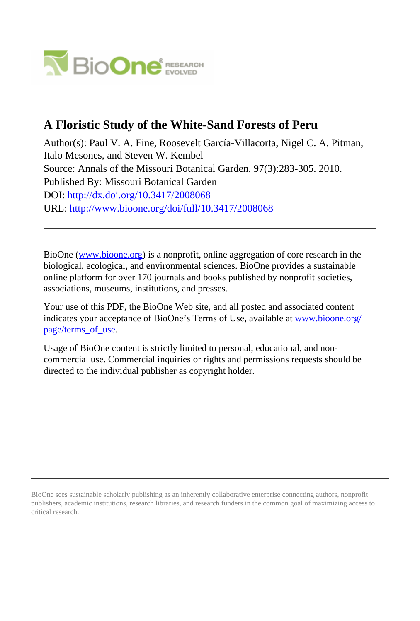

# **A Floristic Study of the White-Sand Forests of Peru**

Author(s): Paul V. A. Fine, Roosevelt García-Villacorta, Nigel C. A. Pitman, Italo Mesones, and Steven W. Kembel Source: Annals of the Missouri Botanical Garden, 97(3):283-305. 2010. Published By: Missouri Botanical Garden DOI:<http://dx.doi.org/10.3417/2008068> URL: <http://www.bioone.org/doi/full/10.3417/2008068>

BioOne [\(www.bioone.org\)](http://www.bioone.org) is a nonprofit, online aggregation of core research in the biological, ecological, and environmental sciences. BioOne provides a sustainable online platform for over 170 journals and books published by nonprofit societies, associations, museums, institutions, and presses.

Your use of this PDF, the BioOne Web site, and all posted and associated content indicates your acceptance of BioOne's Terms of Use, available at [www.bioone.org/](http://www.bioone.org/page/terms_of_use) [page/terms\\_of\\_use](http://www.bioone.org/page/terms_of_use).

Usage of BioOne content is strictly limited to personal, educational, and noncommercial use. Commercial inquiries or rights and permissions requests should be directed to the individual publisher as copyright holder.

BioOne sees sustainable scholarly publishing as an inherently collaborative enterprise connecting authors, nonprofit publishers, academic institutions, research libraries, and research funders in the common goal of maximizing access to critical research.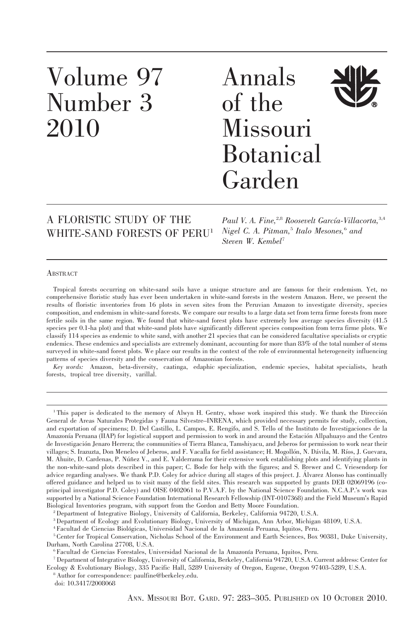# Volume 97 Number 3 2010

# Annals of the Missouri Botanical Garden

# A FLORISTIC STUDY OF THE WHITE-SAND FORESTS OF PERU1

Paul V. A. Fine,<sup>2,8</sup> Roosevelt García-Villacorta,<sup>3,4</sup> Nigel C. A. Pitman,<sup>5</sup> Italo Mesones,<sup>6</sup> and Steven W. Kembel<sup>7</sup>

# **ABSTRACT**

Tropical forests occurring on white-sand soils have a unique structure and are famous for their endemism. Yet, no comprehensive floristic study has ever been undertaken in white-sand forests in the western Amazon. Here, we present the results of floristic inventories from 16 plots in seven sites from the Peruvian Amazon to investigate diversity, species composition, and endemism in white-sand forests. We compare our results to a large data set from terra firme forests from more fertile soils in the same region. We found that white-sand forest plots have extremely low average species diversity (41.5 species per 0.1-ha plot) and that white-sand plots have significantly different species composition from terra firme plots. We classify 114 species as endemic to white sand, with another 21 species that can be considered facultative specialists or cryptic endemics. These endemics and specialists are extremely dominant, accounting for more than 83% of the total number of stems surveyed in white-sand forest plots. We place our results in the context of the role of environmental heterogeneity influencing patterns of species diversity and the conservation of Amazonian forests.

Key words: Amazon, beta-diversity, caatinga, edaphic specialization, endemic species, habitat specialists, heath forests, tropical tree diversity, varillal.

<sup>1</sup>This paper is dedicated to the memory of Alwyn H. Gentry, whose work inspired this study. We thank the Dirección General de Areas Naturales Protegidas y Fauna Silvestre–INRENA, which provided necessary permits for study, collection, and exportation of specimens; D. Del Castillo, L. Campos, E. Rengifo, and S. Tello of the Instituto de Investigaciones de la Amazonía Peruana (IIAP) for logistical support and permission to work in and around the Estación Allpahuayo and the Centro de Investigación Jenaro Herrera; the communities of Tierra Blanca, Tamshiyacu, and Jeberos for permission to work near their villages; S. Irazuzta, Don Meneleo of Jeberos, and F. Vacalla for field assistance; H. Mogollón, N. Dávila, M. Ríos, J. Guevara, M. Ahuite, D. Cardenas, P. Núñez V., and E. Valderrama for their extensive work establishing plots and identifying plants in the non-white-sand plots described in this paper; C. Bode for help with the figures; and S. Brewer and C. Vriesendorp for advice regarding analyses. We thank P.D. Coley for advice during all stages of this project. J. Alvarez Alonso has continually offered guidance and helped us to visit many of the field sites. This research was supported by grants DEB 02069196 (coprincipal investigator P.D. Coley) and OISE 0402061 to P.V.A.F. by the National Science Foundation. N.C.A.P.'s work was supported by a National Science Foundation International Research Fellowship (INT-0107368) and the Field Museum's Rapid Biological Inventories program, with support from the Gordon and Betty Moore Foundation.

2Department of Integrative Biology, University of California, Berkeley, California 94720, U.S.A.

3Department of Ecology and Evolutionary Biology, University of Michigan, Ann Arbor, Michigan 48109, U.S.A.

<sup>6</sup> Facultad de Ciencias Forestales, Universidad Nacional de la Amazonía Peruana, Iquitos, Peru.

<sup>&</sup>lt;sup>4</sup> Facultad de Ciencias Biológicas, Universidad Nacional de la Amazonía Peruana, Iquitos, Peru.

<sup>5</sup> Center for Tropical Conservation, Nicholas School of the Environment and Earth Sciences, Box 90381, Duke University, Durham, North Carolina 27708, U.S.A.

<sup>7</sup> Department of Integrative Biology, University of California, Berkeley, California 94720, U.S.A. Current address: Center for Ecology & Evolutionary Biology, 335 Pacific Hall, 5289 University of Oregon, Eugene, Oregon 97403-5289, U.S.A.

<sup>&</sup>lt;sup>8</sup> Author for correspondence: paulfine@berkeley.edu.

doi: 10.3417/2008068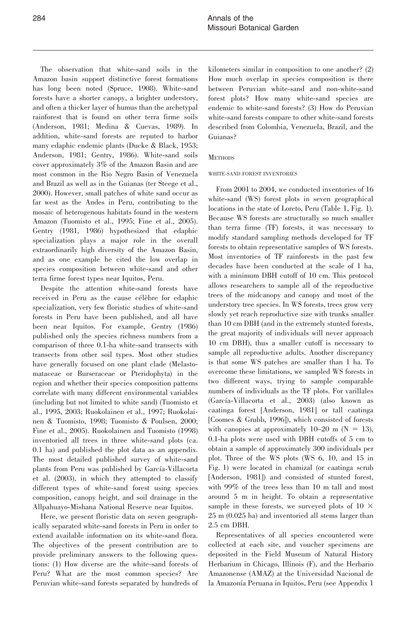The observation that white-sand soils in the Amazon basin support distinctive forest formations has long been noted (Spruce, 1908). White-sand forests have a shorter canopy, a brighter understory, and often a thicker layer of humus than the archetypal rainforest that is found on other terra firme soils (Anderson, 1981; Medina & Cuevas, 1989). In addition, white-sand forests are reputed to harbor many edaphic endemic plants (Ducke & Black, 1953; Anderson, 1981; Gentry, 1986). White-sand soils cover approximately 3% of the Amazon Basin and are most common in the Rio Negro Basin of Venezuela and Brazil as well as in the Guianas (ter Steege et al., 2000). However, small patches of white sand occur as far west as the Andes in Peru, contributing to the mosaic of heterogenous habitats found in the western Amazon (Tuomisto et al., 1995; Fine et al., 2005). Gentry (1981, 1986) hypothesized that edaphic specialization plays a major role in the overall extraordinarily high diversity of the Amazon Basin, and as one example he cited the low overlap in species composition between white-sand and other terra firme forest types near Iquitos, Peru.

Despite the attention white-sand forests have received in Peru as the cause célèbre for edaphic specialization, very few floristic studies of white-sand forests in Peru have been published, and all have been near Iquitos. For example, Gentry (1986) published only the species richness numbers from a comparison of three 0.1-ha white-sand transects with transects from other soil types. Most other studies have generally focused on one plant clade (Melastomataceae or Burseraceae or Pteridophyta) in the region and whether their species composition patterns correlate with many different environmental variables (including but not limited to white sand) (Tuomisto et al., 1995, 2003; Ruokolainen et al., 1997; Ruokolainen & Tuomisto, 1998; Tuomisto & Poulsen, 2000; Fine et al., 2005). Ruokolainen and Tuomisto (1998) inventoried all trees in three white-sand plots (ca. 0.1 ha) and published the plot data as an appendix. The most detailed published survey of white-sand plants from Peru was published by García-Villacorta et al. (2003), in which they attempted to classify different types of white-sand forest using species composition, canopy height, and soil drainage in the Allpahuayo-Mishana National Reserve near Iquitos.

Here, we present floristic data on seven geographically separated white-sand forests in Peru in order to extend available information on its white-sand flora. The objectives of the present contribution are to provide preliminary answers to the following questions: (1) How diverse are the white-sand forests of Peru? What are the most common species? Are Peruvian white-sand forests separated by hundreds of

kilometers similar in composition to one another? (2) How much overlap in species composition is there between Peruvian white-sand and non-white-sand forest plots? How many white-sand species are endemic to white-sand forests? (3) How do Peruvian white-sand forests compare to other white-sand forests described from Colombia, Venezuela, Brazil, and the Guianas?

# **METHODS**

### WHITE-SAND FOREST INVENTORIES

From 2001 to 2004, we conducted inventories of 16 white-sand (WS) forest plots in seven geographical locations in the state of Loreto, Peru (Table 1, Fig. 1). Because WS forests are structurally so much smaller than terra firme (TF) forests, it was necessary to modify standard sampling methods developed for TF forests to obtain representative samples of WS forests. Most inventories of TF rainforests in the past few decades have been conducted at the scale of 1 ha, with a minimum DBH cutoff of 10 cm. This protocol allows researchers to sample all of the reproductive trees of the midcanopy and canopy and most of the understory tree species. In WS forests, trees grow very slowly yet reach reproductive size with trunks smaller than 10 cm DBH (and in the extremely stunted forests, the great majority of individuals will never approach 10 cm DBH), thus a smaller cutoff is necessary to sample all reproductive adults. Another discrepancy is that some WS patches are smaller than 1 ha. To overcome these limitations, we sampled WS forests in two different ways, trying to sample comparable numbers of individuals as the TF plots. For varillales (García-Villacorta et al., 2003) (also known as caatinga forest [Anderson, 1981] or tall caatinga [Coomes & Grubb, 1996]), which consisted of forests with canopies at approximately  $10-20$  m (N = 13), 0.1-ha plots were used with DBH cutoffs of 5 cm to obtain a sample of approximately 300 individuals per plot. Three of the WS plots (WS 6, 10, and 15 in Fig. 1) were located in chamizal (or caatinga scrub [Anderson, 1981]) and consisted of stunted forest, with 99% of the trees less than 10 m tall and most around 5 m in height. To obtain a representative sample in these forests, we surveyed plots of  $10 \times$ 25 m (0.025 ha) and inventoried all stems larger than 2.5 cm DBH.

Representatives of all species encountered were collected at each site, and voucher specimens are deposited in the Field Museum of Natural History Herbarium in Chicago, Illinois (F), and the Herbario Amazonense (AMAZ) at the Universidad Nacional de la Amazonía Peruana in Iquitos, Peru (see Appendix 1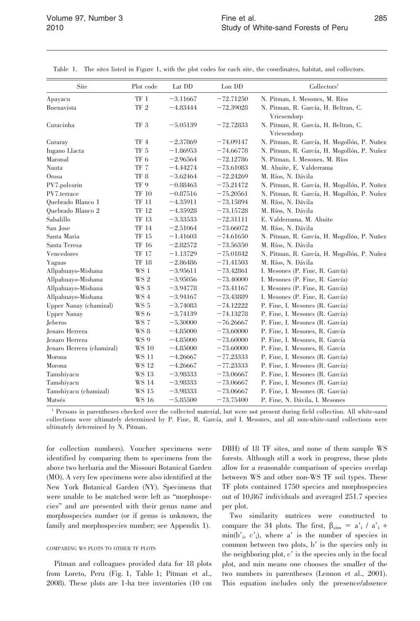| Site                      | Plot code        | Lat DD     | Lon DD      | Collectors <sup>1</sup>                     |
|---------------------------|------------------|------------|-------------|---------------------------------------------|
| Apayacu                   | $\rm TF$ $\rm 1$ | $-3.11667$ | $-72.71250$ | N. Pitman, I. Mesones, M. Ríos              |
| Buenavista                | $\rm TF$ $2$     | $-4.83444$ | $-72.39028$ | N. Pitman, R. García, H. Beltran, C.        |
|                           |                  |            |             | Vriesendorp                                 |
| Curacinha                 | $TF\ 3$          | $-5.05139$ | $-72.72833$ | N. Pitman, R. García, H. Beltran, C.        |
|                           |                  |            |             | Vriesendorp                                 |
| Curaray                   | TF 4             | $-2.37869$ | $-74.09147$ | N. Pitman, R. García, H. Mogollón, P. Nuñez |
| Ingano Llacta             | TF <sub>5</sub>  | $-1.86953$ | $-74.66778$ | N. Pitman, R. García, H. Mogollón, P. Nuñez |
| Maronal                   | TF <sub>6</sub>  | $-2.96564$ | $-72.12786$ | N. Pitman, I. Mesones, M. Ríos              |
| Nauta                     | TF 7             | $-4.44274$ | $-73.61083$ | M. Ahuite, E. Valderrama                    |
| Orosa                     | TF <sub>8</sub>  | $-3.62464$ | $-72.24269$ | M. Ríos, N. Dávila                          |
| PV7.polvorin              | TF <sub>9</sub>  | $-0.88463$ | $-75.21472$ | N. Pitman, R. García, H. Mogollón, P. Nuñez |
| PV7.terrace               | TF 10            | $-0.87516$ | $-75.20561$ | N. Pitman, R. García, H. Mogollón, P. Nuñez |
| Quebrado Blanco 1         | TF 11            | $-4.35911$ | $-73.15894$ | M. Ríos, N. Dávila                          |
| Quebrado Blanco 2         | TF 12            | $-4.35928$ | $-73.15728$ | M. Ríos, N. Dávila                          |
| Sabalillo                 | <b>TF 13</b>     | $-3.33533$ | $-72.31111$ | E. Valderrama, M. Ahuite                    |
| San Jose                  | TF 14            | $-2.51064$ | $-73.66072$ | M. Ríos, N. Dávila                          |
| Santa Maria               | <b>TF 15</b>     | $-1.41603$ | $-74.61650$ | N. Pitman, R. García, H. Mogollón, P. Nuñez |
| Santa Teresa              | <b>TF 16</b>     | $-2.82572$ | $-73.56350$ | M. Ríos, N. Dávila                          |
| Vencedores                | <b>TF 17</b>     | $-1.13729$ | $-75.01842$ | N. Pitman, R. García, H. Mogollón, P. Nuñez |
| Yaguas                    | TF 18            | $-2.86486$ | $-71.41503$ | M. Ríos, N. Dávila                          |
| Allpahuayo-Mishana        | WS 1             | $-3.95611$ | $-73.42861$ | I. Mesones (P. Fine, R. García)             |
| Allpahuayo-Mishana        | WS 2             | $-3.95056$ | $-73.40000$ | I. Mesones (P. Fine, R. García)             |
| Allpahuayo-Mishana        | WS 3             | $-3.94778$ | $-73.41167$ | I. Mesones (P. Fine, R. García)             |
| Allpahuayo-Mishana        | WS 4             | $-3.94167$ | $-73.43889$ | I. Mesones (P. Fine, R. García)             |
| Upper Nanay (chamizal)    | WS 5             | $-3.74083$ | $-74.12222$ | P. Fine, I. Mesones (R. García)             |
| <b>Upper Nanay</b>        | WS 6             | $-3.74139$ | $-74.13278$ | P. Fine, I. Mesones (R. García)             |
| Jeberos                   | WS 7             | $-5.30000$ | $-76.26667$ | P. Fine, I. Mesones (R. García)             |
| Jenaro Herrera            | WS 8             | $-4.85000$ | $-73.60000$ | P. Fine, I. Mesones, R. García              |
| Jenaro Herrera            | WS 9             | $-4.85000$ | $-73,60000$ | P. Fine, I. Mesones, R. García              |
| Jenaro Herrera (chamizal) | <b>WS 10</b>     | $-4.85000$ | $-73,60000$ | P. Fine, I. Mesones, R. García              |
| Morona                    | <b>WS 11</b>     | $-4.26667$ | $-77.23333$ | P. Fine, I. Mesones (R. García)             |
| Morona                    | <b>WS 12</b>     | $-4.26667$ | $-77.23333$ | P. Fine, I. Mesones (R. García)             |
| Tamshiyacu                | <b>WS 13</b>     | $-3.98333$ | $-73.06667$ | P. Fine, I. Mesones (R. García)             |
| Tamshiyacu                | <b>WS 14</b>     | $-3.98333$ | $-73.06667$ | P. Fine, I. Mesones (R. García)             |
| Tamshiyacu (chamizal)     | <b>WS 15</b>     | $-3.98333$ | $-73.06667$ | P. Fine, I. Mesones (R. García)             |
| Matsés                    | <b>WS 16</b>     | $-5.85500$ | $-73.75400$ | P. Fine, N. Dávila, I. Mesones              |

Table 1. The sites listed in Figure 1, with the plot codes for each site, the coordinates, habitat, and collectors.

<sup>1</sup> Persons in parentheses checked over the collected material, but were not present during field collection. All white-sand collections were ultimately determined by P. Fine, R. García, and I. Mesones, and all non-white-sand collections were ultimately determined by N. Pitman.

for collection numbers). Voucher specimens were identified by comparing them to specimens from the above two herbaria and the Missouri Botanical Garden (MO). A very few specimens were also identified at the New York Botanical Garden (NY). Specimens that were unable to be matched were left as ''morphospecies'' and are presented with their genus name and morphospecies number (or if genus is unknown, the family and morphospecies number; see Appendix 1).

### COMPARING WS PLOTS TO OTHER TF PLOTS

Pitman and colleagues provided data for 18 plots from Loreto, Peru (Fig. 1, Table 1; Pitman et al., 2008). These plots are 1-ha tree inventories (10 cm

DBH) of 18 TF sites, and none of them sample WS forests. Although still a work in progress, these plots allow for a reasonable comparison of species overlap between WS and other non-WS TF soil types. These TF plots contained 1750 species and morphospecies out of 10,867 individuals and averaged 251.7 species per plot.

Two similarity matrices were constructed to compare the 34 plots. The first,  $\beta_{\text{sim}} = a'_i / a'_i +$  $\min(b'_i, c'_i)$ , where a' is the number of species in common between two plots,  $b'$  is the species only in the neighboring plot,  $c'$  is the species only in the focal plot, and min means one chooses the smaller of the two numbers in parentheses (Lennon et al., 2001). This equation includes only the presence/absence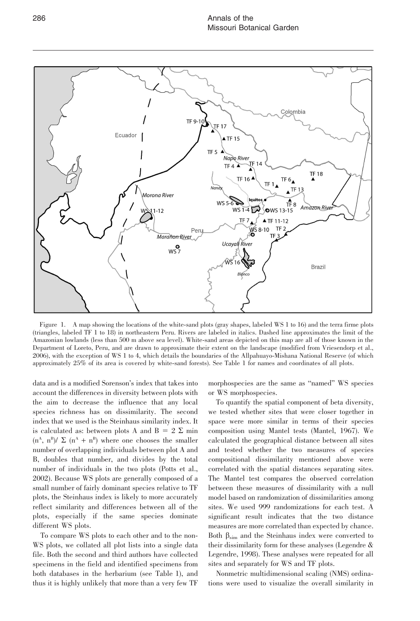

Figure 1. A map showing the locations of the white-sand plots (gray shapes, labeled WS 1 to 16) and the terra firme plots (triangles, labeled TF 1 to 18) in northeastern Peru. Rivers are labeled in italics. Dashed line approximates the limit of the Amazonian lowlands (less than 500 m above sea level). White-sand areas depicted on this map are all of those known in the Department of Loreto, Peru, and are drawn to approximate their extent on the landscape (modified from Vriesendorp et al., 2006), with the exception of WS 1 to 4, which details the boundaries of the Allpahuayo-Mishana National Reserve (of which approximately 25% of its area is covered by white-sand forests). See Table 1 for names and coordinates of all plots.

data and is a modified Sorenson's index that takes into account the differences in diversity between plots with the aim to decrease the influence that any local species richness has on dissimilarity. The second index that we used is the Steinhaus similarity index. It is calculated as: between plots A and  $B = 2 \Sigma$  min  $(n<sup>A</sup>, n<sup>B</sup>)/ \Sigma (n<sup>A</sup> + n<sup>B</sup>)$  where one chooses the smaller number of overlapping individuals between plot A and B, doubles that number, and divides by the total number of individuals in the two plots (Potts et al., 2002). Because WS plots are generally composed of a small number of fairly dominant species relative to TF plots, the Steinhaus index is likely to more accurately reflect similarity and differences between all of the plots, especially if the same species dominate different WS plots.

To compare WS plots to each other and to the non-WS plots, we collated all plot lists into a single data file. Both the second and third authors have collected specimens in the field and identified specimens from both databases in the herbarium (see Table 1), and thus it is highly unlikely that more than a very few TF

morphospecies are the same as ''named'' WS species or WS morphospecies.

To quantify the spatial component of beta diversity, we tested whether sites that were closer together in space were more similar in terms of their species composition using Mantel tests (Mantel, 1967). We calculated the geographical distance between all sites and tested whether the two measures of species compositional dissimilarity mentioned above were correlated with the spatial distances separating sites. The Mantel test compares the observed correlation between these measures of dissimilarity with a null model based on randomization of dissimilarities among sites. We used 999 randomizations for each test. A significant result indicates that the two distance measures are more correlated than expected by chance. Both  $\beta_{\text{sim}}$  and the Steinhaus index were converted to their dissimilarity form for these analyses (Legendre & Legendre, 1998). These analyses were repeated for all sites and separately for WS and TF plots.

Nonmetric multidimensional scaling (NMS) ordinations were used to visualize the overall similarity in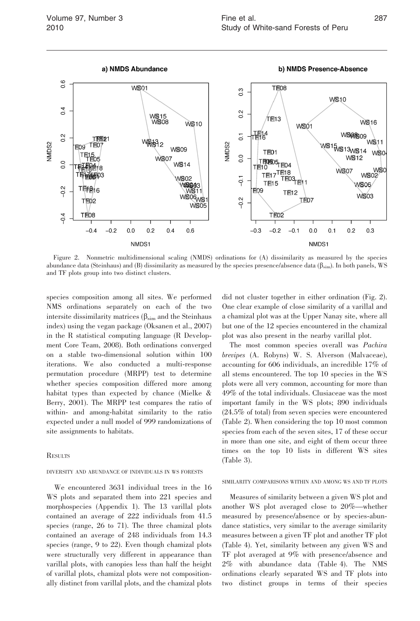

Figure 2. Nonmetric multidimensional scaling (NMDS) ordinations for (A) dissimilarity as measured by the species abundance data (Steinhaus) and (B) dissimilarity as measured by the species presence/absence data ( $\beta_{sim}$ ). In both panels, WS and TF plots group into two distinct clusters.

species composition among all sites. We performed NMS ordinations separately on each of the two intersite dissimilarity matrices  $(\beta_{sim}$  and the Steinhaus index) using the vegan package (Oksanen et al., 2007) in the R statistical computing language (R Development Core Team, 2008). Both ordinations converged on a stable two-dimensional solution within 100 iterations. We also conducted a multi-response permutation procedure (MRPP) test to determine whether species composition differed more among habitat types than expected by chance (Mielke & Berry, 2001). The MRPP test compares the ratio of within- and among-habitat similarity to the ratio expected under a null model of 999 randomizations of site assignments to habitats.

#### **RESULTS**

# DIVERSITY AND ABUNDANCE OF INDIVIDUALS IN WS FORESTS

We encountered 3631 individual trees in the 16 WS plots and separated them into 221 species and morphospecies (Appendix 1). The 13 varillal plots contained an average of 222 individuals from 41.5 species (range, 26 to 71). The three chamizal plots contained an average of 248 individuals from 14.3 species (range, 9 to 22). Even though chamizal plots were structurally very different in appearance than varillal plots, with canopies less than half the height of varillal plots, chamizal plots were not compositionally distinct from varillal plots, and the chamizal plots

did not cluster together in either ordination (Fig. 2). One clear example of close similarity of a varillal and a chamizal plot was at the Upper Nanay site, where all but one of the 12 species encountered in the chamizal plot was also present in the nearby varillal plot.

The most common species overall was Pachira brevipes (A. Robyns) W. S. Alverson (Malvaceae), accounting for 606 individuals, an incredible 17% of all stems encountered. The top 10 species in the WS plots were all very common, accounting for more than 49% of the total individuals. Clusiaceae was the most important family in the WS plots; 890 individuals (24.5% of total) from seven species were encountered (Table 2). When considering the top 10 most common species from each of the seven sites, 17 of these occur in more than one site, and eight of them occur three times on the top 10 lists in different WS sites (Table 3).

#### SIMILARITY COMPARISONS WITHIN AND AMONG WS AND TF PLOTS

Measures of similarity between a given WS plot and another WS plot averaged close to 20%—whether measured by presence/absence or by species-abundance statistics, very similar to the average similarity measures between a given TF plot and another TF plot (Table 4). Yet, similarity between any given WS and TF plot averaged at 9% with presence/absence and 2% with abundance data (Table 4). The NMS ordinations clearly separated WS and TF plots into two distinct groups in terms of their species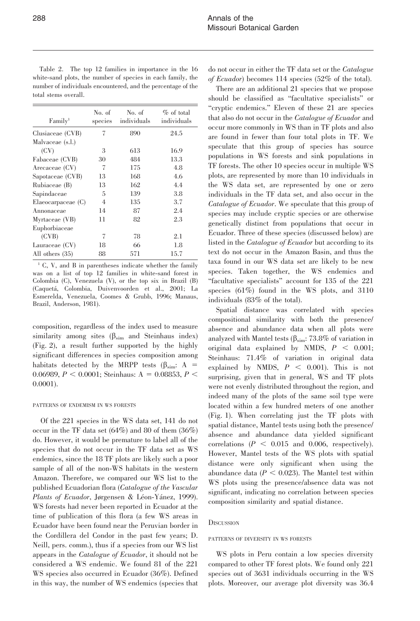Table 2. The top 12 families in importance in the 16 white-sand plots, the number of species in each family, the number of individuals encountered, and the percentage of the total stems overall.

| Family <sup>1</sup>     | No. of<br>species | No. of<br>individuals | $\%$ of total<br>individuals |
|-------------------------|-------------------|-----------------------|------------------------------|
| Clusiaceae (CVB)        | 7                 | 890                   | 24.5                         |
| Malvaceae (s.l.)        |                   |                       |                              |
| (CV)                    | 3                 | 613                   | 16.9                         |
| Fabaceae (CVB)          | 30                | 484                   | 13.3                         |
| Arecaceae (CV)          | 7                 | 175                   | 4.8                          |
| Sapotaceae (CVB)        | 13                | 168                   | 4.6                          |
| Rubiaceae (B)           | 13                | 162                   | 4.4                          |
| Sapindaceae             | 5                 | 139                   | 3.8                          |
| $E$ laeocarpaceae $(C)$ | 4                 | 135                   | 3.7                          |
| Annonaceae              | 14                | 87                    | 2.4                          |
| Myrtaceae (VB)          | 11                | 82                    | 2.3                          |
| Euphorbiaceae           |                   |                       |                              |
| (CVB)                   | 7                 | 78                    | 2.1                          |
| Lauraceae (CV)          | 18                | 66                    | $1.8\,$                      |
| All others (35)         | 88                | 571                   | 15.7                         |

<sup>1</sup> C, V, and B in parentheses indicate whether the family was on a list of top 12 families in white-sand forest in Colombia (C), Venezuela (V), or the top six in Brazil (B) (Caqueta´, Colombia, Duivenvoorden et al., 2001; La Esmerelda, Venezuela, Coomes & Grubb, 1996; Manaus, Brazil, Anderson, 1981).

composition, regardless of the index used to measure similarity among sites  $(\beta_{sim}$  and Steinhaus index) (Fig. 2), a result further supported by the highly significant differences in species composition among habitats detected by the MRPP tests ( $\beta_{sim}: A =$ 0.06989,  $P < 0.0001$ ; Steinhaus: A = 0.08853, P < 0.0001).

#### PATTERNS OF ENDEMISM IN WS FORESTS

Of the 221 species in the WS data set, 141 do not occur in the TF data set  $(64%)$  and 80 of them  $(36%)$ do. However, it would be premature to label all of the species that do not occur in the TF data set as WS endemics, since the 18 TF plots are likely such a poor sample of all of the non-WS habitats in the western Amazon. Therefore, we compared our WS list to the published Ecuadorian flora (Catalogue of the Vascular Plants of Ecuador, Jørgensen & Léon-Yánez, 1999). WS forests had never been reported in Ecuador at the time of publication of this flora (a few WS areas in Ecuador have been found near the Peruvian border in the Cordillera del Condor in the past few years; D. Neill, pers. comm.), thus if a species from our WS list appears in the Catalogue of Ecuador, it should not be considered a WS endemic. We found 81 of the 221 WS species also occurred in Ecuador (36%). Defined in this way, the number of WS endemics (species that

do not occur in either the TF data set or the Catalogue of Ecuador) becomes 114 species (52% of the total).

There are an additional 21 species that we propose should be classified as ''facultative specialists'' or "cryptic endemics." Eleven of these 21 are species that also do not occur in the Catalogue of Ecuador and occur more commonly in WS than in TF plots and also are found in fewer than four total plots in TF. We speculate that this group of species has source populations in WS forests and sink populations in TF forests. The other 10 species occur in multiple WS plots, are represented by more than 10 individuals in the WS data set, are represented by one or zero individuals in the TF data set, and also occur in the Catalogue of Ecuador. We speculate that this group of species may include cryptic species or are otherwise genetically distinct from populations that occur in Ecuador. Three of these species (discussed below) are listed in the *Catalogue of Ecuador* but according to its text do not occur in the Amazon Basin, and thus the taxa found in our WS data set are likely to be new species. Taken together, the WS endemics and ''facultative specialists'' account for 135 of the 221 species (61%) found in the WS plots, and 3110 individuals (83% of the total).

Spatial distance was correlated with species compositional similarity with both the presence/ absence and abundance data when all plots were analyzed with Mantel tests ( $\beta_{sim}$ : 73.8% of variation in original data explained by NMDS,  $P < 0.001$ ; Steinhaus: 71.4% of variation in original data explained by NMDS,  $P \, \leq \, 0.001$ ). This is not surprising, given that in general, WS and TF plots were not evenly distributed throughout the region, and indeed many of the plots of the same soil type were located within a few hundred meters of one another (Fig. 1). When correlating just the TF plots with spatial distance, Mantel tests using both the presence/ absence and abundance data yielded significant correlations  $(P < 0.015$  and 0.006, respectively). However, Mantel tests of the WS plots with spatial distance were only significant when using the abundance data ( $P < 0.023$ ). The Mantel test within WS plots using the presence/absence data was not significant, indicating no correlation between species composition similarity and spatial distance.

#### **DISCUSSION**

# PATTERNS OF DIVERSITY IN WS FORESTS

WS plots in Peru contain a low species diversity compared to other TF forest plots. We found only 221 species out of 3631 individuals occurring in the WS plots. Moreover, our average plot diversity was 36.4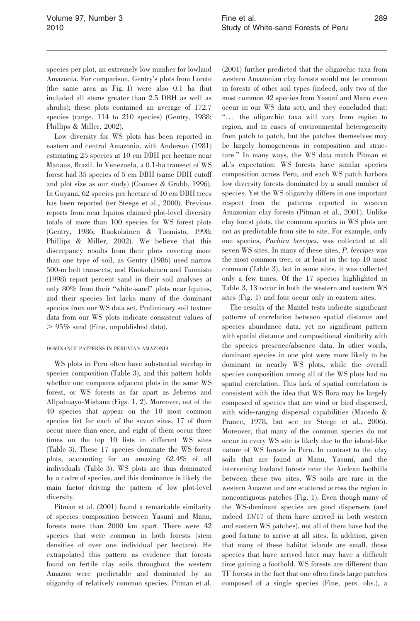species per plot, an extremely low number for lowland Amazonia. For comparison, Gentry's plots from Loreto (the same area as Fig. 1) were also 0.1 ha (but included all stems greater than 2.5 DBH as well as shrubs); these plots contained an average of 172.7 species (range, 114 to 210 species) (Gentry, 1988; Phillips & Miller, 2002).

Low diversity for WS plots has been reported in eastern and central Amazonia, with Anderson (1981) estimating 25 species at 10 cm DBH per hectare near Manaus, Brazil. In Venezuela, a 0.1-ha transect of WS forest had 35 species of 5 cm DBH (same DBH cutoff and plot size as our study) (Coomes & Grubb, 1996). In Guyana, 62 species per hectare of 10 cm DBH trees has been reported (ter Steege et al., 2000). Previous reports from near Iquitos claimed plot-level diversity totals of more than 100 species for WS forest plots (Gentry, 1986; Ruokolainen & Tuomisto, 1998; Phillips & Miller, 2002). We believe that this discrepancy results from their plots covering more than one type of soil, as Gentry (1986) used narrow 500-m belt transects, and Ruokolainen and Tuomisto (1998) report percent sand in their soil analyses at only 80% from their ''white-sand'' plots near Iquitos, and their species list lacks many of the dominant species from our WS data set. Preliminary soil texture data from our WS plots indicate consistent values of  $> 95\%$  sand (Fine, unpublished data).

# DOMINANCE PATTERNS IN PERUVIAN AMAZONIA

WS plots in Peru often have substantial overlap in species composition (Table 3), and this pattern holds whether one compares adjacent plots in the same WS forest, or WS forests as far apart as Jeberos and Allpahuayo-Mishana (Figs. 1, 2). Moreover, out of the 40 species that appear on the 10 most common species list for each of the seven sites, 17 of them occur more than once, and eight of them occur three times on the top 10 lists in different WS sites (Table 3). These 17 species dominate the WS forest plots, accounting for an amazing 62.4% of all individuals (Table 3). WS plots are thus dominated by a cadre of species, and this dominance is likely the main factor driving the pattern of low plot-level diversity.

Pitman et al. (2001) found a remarkable similarity of species composition between Yasuní and Manu, forests more than 2000 km apart. There were 42 species that were common in both forests (stem densities of over one individual per hectare). He extrapolated this pattern as evidence that forests found on fertile clay soils throughout the western Amazon were predictable and dominated by an oligarchy of relatively common species. Pitman et al.

(2001) further predicted that the oligarchic taxa from western Amazonian clay forests would not be common in forests of other soil types (indeed, only two of the most common 42 species from Yasuní and Manu even occur in our WS data set), and they concluded that: "... the oligarchic taxa will vary from region to region, and in cases of environmental heterogeneity from patch to patch, but the patches themselves may be largely homogeneous in composition and structure.'' In many ways, the WS data match Pitman et al.'s expectation: WS forests have similar species composition across Peru, and each WS patch harbors low diversity forests dominated by a small number of species. Yet the WS oligarchy differs in one important respect from the patterns reported in western Amazonian clay forests (Pitman et al., 2001). Unlike clay forest plots, the common species in WS plots are not as predictable from site to site. For example, only one species, Pachira brevipes, was collected at all seven WS sites. In many of these sites, P. brevipes was the most common tree, or at least in the top 10 most common (Table 3), but in some sites, it was collected only a few times. Of the 17 species highlighted in Table 3, 13 occur in both the western and eastern WS sites (Fig. 1) and four occur only in eastern sites.

The results of the Mantel tests indicate significant patterns of correlation between spatial distance and species abundance data, yet no significant pattern with spatial distance and compositional similarity with the species presence/absence data. In other words, dominant species in one plot were more likely to be dominant in nearby WS plots, while the overall species composition among all of the WS plots had no spatial correlation. This lack of spatial correlation is consistent with the idea that WS flora may be largely composed of species that are wind or bird dispersed, with wide-ranging dispersal capabilities (Macedo & Prance, 1978, but see ter Steege et al., 2006). Moreover, that many of the common species do not occur in every WS site is likely due to the island-like nature of WS forests in Peru. In contrast to the clay soils that are found at Manu, Yasuní, and the intervening lowland forests near the Andean foothills between these two sites, WS soils are rare in the western Amazon and are scattered across the region in noncontiguous patches (Fig. 1). Even though many of the WS-dominant species are good dispersers (and indeed 13/17 of them have arrived in both western and eastern WS patches), not all of them have had the good fortune to arrive at all sites. In addition, given that many of these habitat islands are small, those species that have arrived later may have a difficult time gaining a foothold. WS forests are different than TF forests in the fact that one often finds large patches composed of a single species (Fine, pers. obs.), a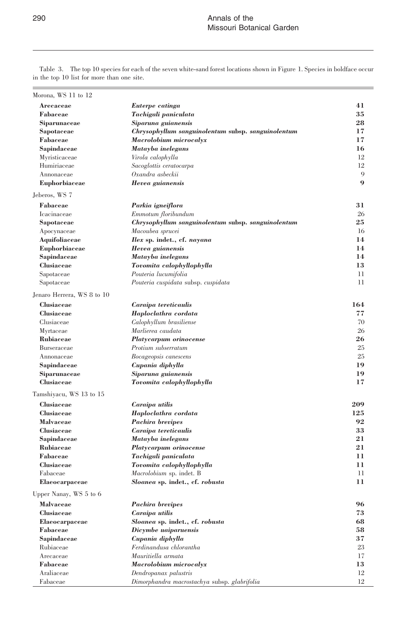Morona, WS 11 to 12 Arecaceae **Euterpe catinga** 41 Fabaceae Tachigali paniculata 35 Siparunaceae Siparuna guianensis 28 Sapotaceae Chrysophyllum sanguinolentum subsp. sanguinolentum 17 Fabaceae Macrolobium microcalyx 17 Sapindaceae Matayba inelegans 16 Myristicaceae *Virola calophylla* 12 Humiriaceae Sacoglottis ceratocarpa 12 Annonaceae *Oxandra asbeckii* 9 Euphorbiaceae Hevea guianensis 9 Jeberos, WS 7 Fabaceae Parkia igneiflora 31 Icacinaceae Emmotum floribundum 26 Sapotaceae Chrysophyllum sanguinolentum subsp. sanguinolentum 25 Apocynaceae Macoubea sprucei 16 Aquifoliaceae *Ilex* sp. indet., cf. *nayana* 14 Euphorbiaceae Hevea guianensis 14 Sapindaceae Matayba inelegans 14 Clusiaceae Tovomita calophyllophylla 13 Sapotaceae Pouteria lucumifolia 11 Sapotaceae *Pouteria cuspidata* subsp. *cuspidata* 11 Jenaro Herrera, WS 8 to 10 Clusiaceae Caraipa tereticaulis 164 Clusiaceae Haploclathra cordata 77 Clusiaceae Calophyllum brasiliense 70 Myrtaceae Marlierea caudata 26 Rubiaceae Platycarpum orinocense 26 Burseraceae Protium subserratum 25 Annonaceae Bocageopsis canescens 25 Sapindaceae Cupania diphylla 19 Siparunaceae Siparuna guianensis 19 Clusiaceae Tovomita calophyllophylla 17 Tamshiyacu, WS 13 to 15 Clusiaceae Caraipa utilis 209<br>Clusiaceae Haploclathra cordata 125 Clusiaceae Haploclathra cordata Malvaceae Pachira brevipes 92 Clusiaceae Caraipa tereticaulis 33 Sapindaceae Matayba inelegans 21 Rubiaceae Platycarpum orinocense 21 Fabaceae Tachigali paniculata 11 Clusiaceae Tovomita calophyllophylla 11 Fabaceae Macrolobium sp. indet. B 11 Elaeocarpaceae Sloanea sp. indet., cf. robusta 11 Upper Nanay, WS 5 to 6 Malvaceae Pachira brevipes 96 Clusiaceae Caraipa utilis 73 Elaeocarpaceae Sloanea sp. indet., cf. robusta 68 Fabaceae Dicymbe uaiparuensis 58 Sapindaceae Cupania diphylla 37 Rubiaceae Ferdinandusa chlorantha 23 Arecaceae Mauritiella armata 17 Fabaceae Macrolobium microcalyx 13 Araliaceae **Dendropanax palustris** 12 Fabaceae Dimorphandra macrostachya subsp. glabrifolia 12

Table 3. The top 10 species for each of the seven white-sand forest locations shown in Figure 1. Species in boldface occur in the top 10 list for more than one site.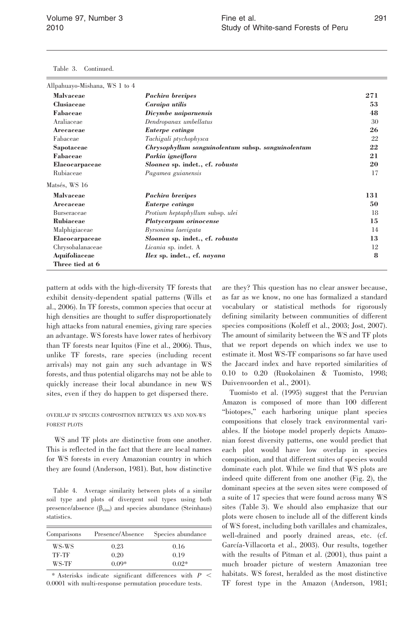Table 3. Continued.

| Allpahuayo-Mishana, WS 1 to 4 |                                                    |     |
|-------------------------------|----------------------------------------------------|-----|
| <b>Malvaceae</b>              | Pachira brevipes                                   | 271 |
| Clusiaceae                    | Caraipa utilis                                     | 53  |
| Fabaceae                      | Dicymbe uaiparuensis                               | 48  |
| Araliaceae                    | Dendropanax umbellatus                             | 30  |
| Arecaceae                     | Euterpe catinga                                    | 26  |
| Fabaceae                      | Tachigali ptychophysca                             | 22  |
| Sapotaceae                    | Chrysophyllum sanguinolentum subsp. sanguinolentum | 22  |
| Fabaceae                      | Parkia igneiflora                                  | 21  |
| Elaeocarpaceae                | Sloanea sp. indet., cf. robusta                    | 20  |
| Rubiaceae                     | Pagamea guianensis                                 | 17  |
| Matsés, WS 16                 |                                                    |     |
| Malvaceae                     | Pachira brevipes                                   | 131 |
| Arecaceae                     | Euterpe catinga                                    | 50  |
| <b>Burseraceae</b>            | Protium heptaphyllum subsp. ulei                   | 18  |
| Rubiaceae                     | Platycarpum orinocense                             | 15  |
| Malphigiaceae                 | Byrsonima laevigata                                | 14  |
| Elaeocarpaceae                | Sloanea sp. indet., cf. robusta                    | 13  |
| Chrysobalanaceae              | Licania sp. indet. A                               | 12  |
| Aquifoliaceae                 | <i>Ilex sp.</i> indet., cf. <i>nayana</i>          | 8   |
| Three tied at 6               |                                                    |     |

pattern at odds with the high-diversity TF forests that exhibit density-dependent spatial patterns (Wills et al., 2006). In TF forests, common species that occur at high densities are thought to suffer disproportionately high attacks from natural enemies, giving rare species an advantage. WS forests have lower rates of herbivory than TF forests near Iquitos (Fine et al., 2006). Thus, unlike TF forests, rare species (including recent arrivals) may not gain any such advantage in WS forests, and thus potential oligarchs may not be able to quickly increase their local abundance in new WS sites, even if they do happen to get dispersed there.

# OVERLAP IN SPECIES COMPOSITION BETWEEN WS AND NON-WS FOREST PLOTS

WS and TF plots are distinctive from one another. This is reflected in the fact that there are local names for WS forests in every Amazonian country in which they are found (Anderson, 1981). But, how distinctive

Table 4. Average similarity between plots of a similar soil type and plots of divergent soil types using both presence/absence  $(\beta_{sim})$  and species abundance (Steinhaus) statistics.

| Comparisons | Presence/Absence | Species abundance |
|-------------|------------------|-------------------|
| WS-WS       | 0.23             | 0.16              |
| TF-TF       | 0.20             | 0.19              |
| WS-TF       | $0.09*$          | $0.02*$           |

\* Asterisks indicate significant differences with  $P \leq$ 0.0001 with multi-response permutation procedure tests.

are they? This question has no clear answer because, as far as we know, no one has formalized a standard vocabulary or statistical methods for rigorously defining similarity between communities of different species compositions (Koleff et al., 2003; Jost, 2007). The amount of similarity between the WS and TF plots that we report depends on which index we use to estimate it. Most WS-TF comparisons so far have used the Jaccard index and have reported similarities of 0.10 to 0.20 (Ruokolainen & Tuomisto, 1998; Duivenvoorden et al., 2001).

Tuomisto et al. (1995) suggest that the Peruvian Amazon is composed of more than 100 different ''biotopes,'' each harboring unique plant species compositions that closely track environmental variables. If the biotope model properly depicts Amazonian forest diversity patterns, one would predict that each plot would have low overlap in species composition, and that different suites of species would dominate each plot. While we find that WS plots are indeed quite different from one another (Fig. 2), the dominant species at the seven sites were composed of a suite of 17 species that were found across many WS sites (Table 3). We should also emphasize that our plots were chosen to include all of the different kinds of WS forest, including both varillales and chamizales, well-drained and poorly drained areas, etc. (cf. García-Villacorta et al., 2003). Our results, together with the results of Pitman et al. (2001), thus paint a much broader picture of western Amazonian tree habitats. WS forest, heralded as the most distinctive TF forest type in the Amazon (Anderson, 1981;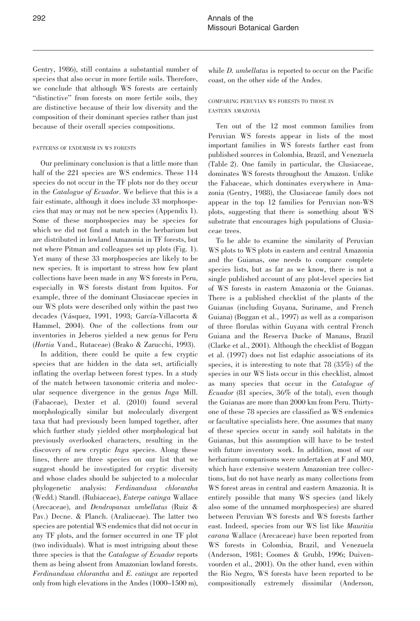Gentry, 1986), still contains a substantial number of species that also occur in more fertile soils. Therefore, we conclude that although WS forests are certainly "distinctive" from forests on more fertile soils, they are distinctive because of their low diversity and the composition of their dominant species rather than just because of their overall species compositions.

# PATTERNS OF ENDEMISM IN WS FORESTS

Our preliminary conclusion is that a little more than half of the 221 species are WS endemics. These 114 species do not occur in the TF plots nor do they occur in the Catalogue of Ecuador. We believe that this is a fair estimate, although it does include 33 morphospecies that may or may not be new species (Appendix 1). Some of these morphospecies may be species for which we did not find a match in the herbarium but are distributed in lowland Amazonia in TF forests, but not where Pitman and colleagues set up plots (Fig. 1). Yet many of these 33 morphospecies are likely to be new species. It is important to stress how few plant collections have been made in any WS forests in Peru, especially in WS forests distant from Iquitos. For example, three of the dominant Clusiaceae species in our WS plots were described only within the past two decades (Vásquez, 1991, 1993; García-Villacorta & Hammel, 2004). One of the collections from our inventories in Jeberos yielded a new genus for Peru (Hortia Vand., Rutaceae) (Brako & Zarucchi, 1993).

In addition, there could be quite a few cryptic species that are hidden in the data set, artificially inflating the overlap between forest types. In a study of the match between taxonomic criteria and molecular sequence divergence in the genus Inga Mill. (Fabaceae), Dexter et al. (2010) found several morphologically similar but molecularly divergent taxa that had previously been lumped together, after which further study yielded other morphological but previously overlooked characters, resulting in the discovery of new cryptic *Inga* species. Along these lines, there are three species on our list that we suggest should be investigated for cryptic diversity and whose clades should be subjected to a molecular phylogenetic analysis: Ferdinandusa chlorantha (Wedd.) Standl. (Rubiaceae), Euterpe catinga Wallace (Arecaceae), and Dendropanax umbellatus (Ruiz & Pav.) Decne. & Planch. (Araliaceae). The latter two species are potential WS endemics that did not occur in any TF plots, and the former occurred in one TF plot (two individuals). What is most intriguing about these three species is that the Catalogue of Ecuador reports them as being absent from Amazonian lowland forests. Ferdinandusa chlorantha and E. catinga are reported only from high elevations in the Andes (1000–1500 m),

while *D. umbellatus* is reported to occur on the Pacific coast, on the other side of the Andes.

# COMPARING PERUVIAN WS FORESTS TO THOSE IN EASTERN AMAZONIA

Ten out of the 12 most common families from Peruvian WS forests appear in lists of the most important families in WS forests farther east from published sources in Colombia, Brazil, and Venezuela (Table 2). One family in particular, the Clusiaceae, dominates WS forests throughout the Amazon. Unlike the Fabaceae, which dominates everywhere in Amazonia (Gentry, 1988), the Clusiaceae family does not appear in the top 12 families for Peruvian non-WS plots, suggesting that there is something about WS substrate that encourages high populations of Clusiaceae trees.

To be able to examine the similarity of Peruvian WS plots to WS plots in eastern and central Amazonia and the Guianas, one needs to compare complete species lists, but as far as we know, there is not a single published account of any plot-level species list of WS forests in eastern Amazonia or the Guianas. There is a published checklist of the plants of the Guianas (including Guyana, Suriname, and French Guiana) (Boggan et al., 1997) as well as a comparison of three florulas within Guyana with central French Guiana and the Reserva Ducke of Manaus, Brazil (Clarke et al., 2001). Although the checklist of Boggan et al. (1997) does not list edaphic associations of its species, it is interesting to note that 78 (35%) of the species in our WS lists occur in this checklist, almost as many species that occur in the Catalogue of Ecuador (81 species, 36% of the total), even though the Guianas are more than 2000 km from Peru. Thirtyone of these 78 species are classified as WS endemics or facultative specialists here. One assumes that many of these species occur in sandy soil habitats in the Guianas, but this assumption will have to be tested with future inventory work. In addition, most of our herbarium comparisons were undertaken at F and MO, which have extensive western Amazonian tree collections, but do not have nearly as many collections from WS forest areas in central and eastern Amazonia. It is entirely possible that many WS species (and likely also some of the unnamed morphospecies) are shared between Peruvian WS forests and WS forests farther east. Indeed, species from our WS list like Mauritia carana Wallace (Arecaceae) have been reported from WS forests in Colombia, Brazil, and Venezuela (Anderson, 1981; Coomes & Grubb, 1996; Duivenvoorden et al., 2001). On the other hand, even within the Rio Negro, WS forests have been reported to be compositionally extremely dissimilar (Anderson,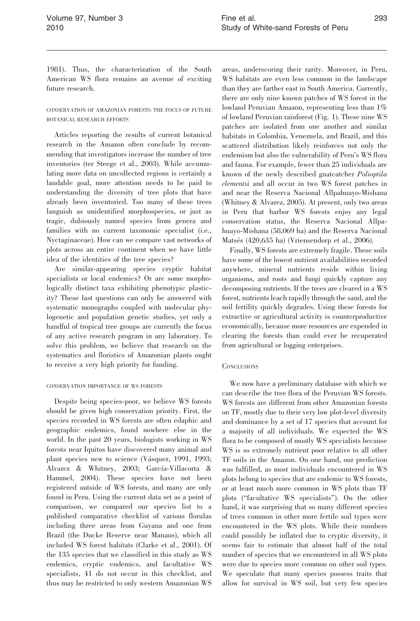1981). Thus, the characterization of the South American WS flora remains an avenue of exciting future research.

CONSERVATION OF AMAZONIAN FORESTS: THE FOCUS OF FUTURE BOTANICAL RESEARCH EFFORTS

Articles reporting the results of current botanical research in the Amazon often conclude by recommending that investigators increase the number of tree inventories (ter Steege et al., 2003). While accumulating more data on uncollected regions is certainly a laudable goal, more attention needs to be paid to understanding the diversity of tree plots that have already been inventoried. Too many of these trees languish as unidentified morphospecies, or just as tragic, dubiously named species from genera and families with no current taxonomic specialist (i.e., Nyctaginaceae). How can we compare vast networks of plots across an entire continent when we have little idea of the identities of the tree species?

Are similar-appearing species cryptic habitat specialists or local endemics? Or are some morphologically distinct taxa exhibiting phenotypic plasticity? These last questions can only be answered with systematic monographs coupled with molecular phylogenetic and population genetic studies, yet only a handful of tropical tree groups are currently the focus of any active research program in any laboratory. To solve this problem, we believe that research on the systematics and floristics of Amazonian plants ought to receive a very high priority for funding.

#### CONSERVATION IMPORTANCE OF WS FORESTS

Despite being species-poor, we believe WS forests should be given high conservation priority. First, the species recorded in WS forests are often edaphic and geographic endemics, found nowhere else in the world. In the past 20 years, biologists working in WS forests near Iquitos have discovered many animal and plant species new to science (Vásquez, 1991, 1993; Alvarez & Whitney, 2003; García-Villacorta & Hammel, 2004). These species have not been registered outside of WS forests, and many are only found in Peru. Using the current data set as a point of comparison, we compared our species list to a published comparative checklist of various florulas including three areas from Guyana and one from Brazil (the Ducke Reserve near Manaus), which all included WS forest habitats (Clarke et al., 2001). Of the 135 species that we classified in this study as WS endemics, cryptic endemics, and facultative WS specialists, 41 do not occur in this checklist, and thus may be restricted to only western Amazonian WS

areas, underscoring their rarity. Moreover, in Peru, WS habitats are even less common in the landscape than they are farther east in South America. Currently, there are only nine known patches of WS forest in the lowland Peruvian Amazon, representing less than  $1\%$ of lowland Peruvian rainforest (Fig. 1). These nine WS patches are isolated from one another and similar habitats in Colombia, Venezuela, and Brazil, and this scattered distribution likely reinforces not only the endemism but also the vulnerability of Peru's WS flora and fauna. For example, fewer than 25 individuals are known of the newly described gnatcatcher Polioptila clementsi and all occur in two WS forest patches in and near the Reserva Nacional Allpahuayo-Mishana (Whitney & Alvarez, 2005). At present, only two areas in Peru that harbor WS forests enjoy any legal conservation status, the Reserva Nacional Allpahuayo-Mishana (58,069 ha) and the Reserva Nacional Matsés  $(420,635 \text{ ha})$  (Vriensendorp et al., 2006).

Finally, WS forests are extremely fragile. These soils have some of the lowest nutrient availabilities recorded anywhere, mineral nutrients reside within living organisms, and roots and fungi quickly capture any decomposing nutrients. If the trees are cleared in a WS forest, nutrients leach rapidly through the sand, and the soil fertility quickly degrades. Using these forests for extractive or agricultural activity is counterproductive economically, because more resources are expended in clearing the forests than could ever be recuperated from agricultural or logging enterprises.

## **CONCLUSIONS**

We now have a preliminary database with which we can describe the tree flora of the Peruvian WS forests. WS forests are different from other Amazonian forests on TF, mostly due to their very low plot-level diversity and dominance by a set of 17 species that account for a majority of all individuals. We expected the WS flora to be composed of mostly WS specialists because WS is so extremely nutrient poor relative to all other TF soils in the Amazon. On one hand, our prediction was fulfilled, as most individuals encountered in WS plots belong to species that are endemic to WS forests, or at least much more common in WS plots than TF plots (''facultative WS specialists''). On the other hand, it was surprising that so many different species of trees common in other more fertile soil types were encountered in the WS plots. While their numbers could possibly be inflated due to cryptic diversity, it seems fair to estimate that almost half of the total number of species that we encountered in all WS plots were due to species more common on other soil types. We speculate that many species possess traits that allow for survival in WS soil, but very few species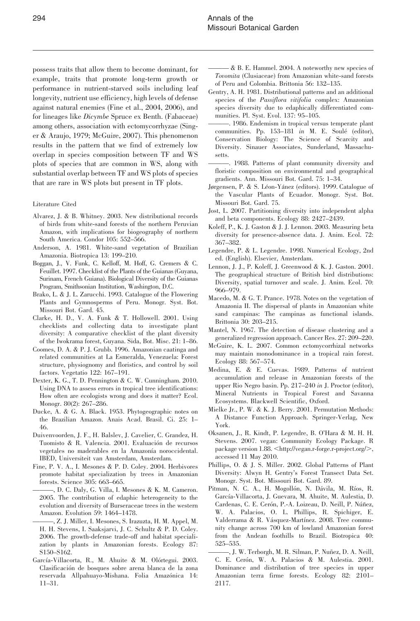possess traits that allow them to become dominant, for example, traits that promote long-term growth or performance in nutrient-starved soils including leaf longevity, nutrient use efficiency, high levels of defense against natural enemies (Fine et al., 2004, 2006), and for lineages like Dicymbe Spruce ex Benth. (Fabaceae) among others, association with ectomycorrhyzae (Singer & Araujo, 1979; McGuire, 2007). This phenomenon results in the pattern that we find of extremely low overlap in species composition between TF and WS plots of species that are common in WS, along with substantial overlap between TF and WS plots of species that are rare in WS plots but present in TF plots.

#### Literature Cited

- Alvarez, J. & B. Whitney. 2003. New distributional records of birds from white-sand forests of the northern Peruvian Amazon, with implications for biogeography of northern South America. Condor 105: 552–566.
- Anderson, A. 1981. White-sand vegetation of Brazilian Amazonia. Biotropica 13: 199–210.
- Boggan, J., V. Funk, C. Kelloff, M. Hoff, G. Cremers & C. Feuillet. 1997. Checklist of the Plants of the Guianas (Guyana, Surinam, French Guiana). Biological Diversity of the Guianas Program, Smithsonian Institution, Washington, D.C.
- Brako, L. & J. L. Zarucchi. 1993. Catalogue of the Flowering Plants and Gymnosperms of Peru. Monogr. Syst. Bot. Missouri Bot. Gard. 45.
- Clarke, H. D., V. A. Funk & T. Hollowell. 2001. Using checklists and collecting data to investigate plant diversity: A comparative checklist of the plant diversity of the Iwokrama forest, Guyana. Sida, Bot. Misc. 21: 1–86.
- Coomes, D. A. & P. J. Grubb. 1996. Amazonian caatinga and related communities at La Esmeralda, Venezuela: Forest structure, physiognomy and floristics, and control by soil factors. Vegetatio 122: 167–191.
- Dexter, K. G., T. D. Pennington & C. W. Cunningham. 2010. Using DNA to assess errors in tropical tree identifications: How often are ecologists wrong and does it matter? Ecol. Monogr. 80(2): 267–286.
- Ducke, A. & G. A. Black. 1953. Phytogeographic notes on the Brazilian Amazon. Anais Acad. Brasil. Ci. 25: 1– 46.
- Duivenvoorden, J. F., H. Balslev, J. Cavelier, C. Grandez, H. Tuomisto & R. Valencia. 2001. Evaluación de recursos vegetales no maderables en la Amazonía noroccidental. IBED, Universiteit van Amsterdam, Amsterdam.
- Fine, P. V. A., I. Mesones & P. D. Coley. 2004. Herbivores promote habitat specialization by trees in Amazonian forests. Science 305: 663–665.
	- ———, D. C. Daly, G. Villa, I. Mesones & K. M. Cameron. 2005. The contribution of edaphic heterogeneity to the evolution and diversity of Burseraceae trees in the western Amazon. Evolution 59: 1464–1478.
- -, Z. J. Miller, I. Mesones, S. Irazuzta, H. M. Appel, M. H. H. Stevens, I. Saaksjarvi, J. C. Schultz & P. D. Coley. 2006. The growth-defense trade-off and habitat specialization by plants in Amazonian forests. Ecology 87: S150–S162.
- García-Villacorta, R., M. Ahuite & M. Olórtegui. 2003. Clasificacio´n de bosques sobre arena blanca de la zona reservada Allpahuayo-Mishana. Folia Amazónica 14: 11–31.
- ——— & B. E. Hammel. 2004. A noteworthy new species of Tovomita (Clusiaceae) from Amazonian white-sand forests of Peru and Colombia. Brittonia 56: 132–135.
- Gentry, A. H. 1981. Distributional patterns and an additional species of the Passiflora vitifolia complex: Amazonian species diversity due to edaphically differentiated communities. Pl. Syst. Evol. 137: 95–105.
- ———. 1986. Endemism in tropical versus temperate plant communities. Pp. 153-181 in M. E. Soulé (editor), Conservation Biology: The Science of Scarcity and Diversity. Sinauer Associates, Sunderland, Massachusetts.
- ———. 1988. Patterns of plant community diversity and floristic composition on environmental and geographical gradients. Ann. Missouri Bot. Gard. 75: 1–34.
- Jørgensen, P. & S. Léon-Yánez (editors). 1999. Catalogue of the Vascular Plants of Ecuador. Monogr. Syst. Bot. Missouri Bot. Gard. 75.
- Jost, L. 2007. Partitioning diversity into independent alpha and beta components. Ecology 88: 2427–2439.
- Koleff, P., K. J. Gaston & J. J. Lennon. 2003. Measuring beta diversity for presence-absence data. J. Anim. Ecol. 72: 367–382.
- Legendre, P. & L. Legendre. 1998. Numerical Ecology, 2nd ed. (English). Elsevier, Amsterdam.
- Lennon, J. J., P. Koleff, J. Greenwood & K. J. Gaston. 2001. The geographical structure of British bird distributions: Diversity, spatial turnover and scale. J. Anim. Ecol. 70: 966–979.
- Macedo, M. & G. T. Prance. 1978. Notes on the vegetation of Amazonia II. The dispersal of plants in Amazonian white sand campinas: The campinas as functional islands. Brittonia 30: 203–215.
- Mantel, N. 1967. The detection of disease clustering and a generalized regression approach. Cancer Res. 27: 209–220.
- McGuire, K. L. 2007. Common ectomycorrhizal networks may maintain monodominance in a tropical rain forest. Ecology 88: 567–574.
- Medina, E. & E. Cuevas. 1989. Patterns of nutrient accumulation and release in Amazonian forests of the upper Rio Negro basin. Pp. 217–240 in J. Proctor (editor), Mineral Nutrients in Tropical Forest and Savanna Ecosystems. Blackwell Scientific, Oxford.
- Mielke Jr., P. W. & K. J. Berry. 2001. Permutation Methods: A Distance Function Approach. Springer-Verlag, New York.
- Oksanen, J., R. Kindt, P. Legendre, B. O'Hara & M. H. H. Stevens. 2007. vegan: Community Ecology Package. R package version 1.88. <http://vegan.r-forge.r-project.org/>, accessed 11 May 2010.
- Phillips, O. & J. S. Miller. 2002. Global Patterns of Plant Diversity: Alwyn H. Gentry's Forest Transect Data Set. Monogr. Syst. Bot. Missouri Bot. Gard. 89.
- Pitman, N. C. A., H. Mogollón, N. Dávila, M. Ríos, R. García-Villacorta, J. Guevara, M. Ahuite, M. Aulestia, D. Cardenas, C. E. Cerón, P.-A. Loizeau, D. Neill, P. Núñez, W. A. Palacios, O. L. Phillips, R. Spichiger, E. Valderrama & R. Vásquez-Martínez. 2008. Tree community change across 700 km of lowland Amazonian forest from the Andean foothills to Brazil. Biotropica 40: 525–535.
- ———, J. W. Terborgh, M. R. Silman, P. Nun˜ez, D. A. Neill, C. E. Cerón, W. A. Palacios & M. Aulestia. 2001. Dominance and distribution of tree species in upper Amazonian terra firme forests. Ecology 82: 2101– 2117.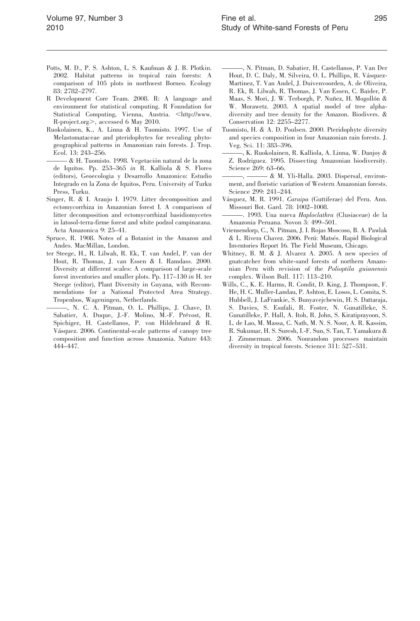- Potts, M. D., P. S. Ashton, L. S. Kaufman & J. B. Plotkin. 2002. Habitat patterns in tropical rain forests: A comparison of 105 plots in northwest Borneo. Ecology 83: 2782–2797.
- R Development Core Team. 2008. R: A language and environment for statistical computing. R Foundation for Statistical Computing, Vienna, Austria. <http://www. R-project.org>, accessed 6 May 2010.
- Ruokolainen, K., A. Linna & H. Tuomisto. 1997. Use of Melastomataceae and pteridophytes for revealing phytogeographical patterns in Amazonian rain forests. J. Trop. Ecol. 13: 243–256.
- & H. Tuomisto. 1998. Vegetación natural de la zona de Iquitos. Pp. 253–365 in R. Kalliola & S. Flores (editors), Geoecologia y Desarrollo Amazonico: Estudio Integrado en la Zona de Iquitos, Peru. University of Turku Press, Turku.
- Singer, R. & I. Araujo I. 1979. Litter decomposition and ectomycorrhiza in Amazonian forest I. A comparison of litter decomposition and ectomycorrhizal basidiomycetes in latosol-terra-firme forest and white podzol campinarana. Acta Amazonica 9: 25–41.
- Spruce, R. 1908. Notes of a Botanist in the Amazon and Andes. MacMillan, London.
- ter Steege, H., R. Lilwah, R. Ek, T. van Andel, P. van der Hout, R. Thomas, J. van Essen & I. Ramdass. 2000. Diversity at different scales: A comparison of large-scale forest inventories and smaller plots. Pp. 117–130 in H. ter Steege (editor), Plant Diversity in Guyana, with Recommendations for a National Protected Area Strategy. Tropenbos, Wageningen, Netherlands.
- ———, N. C. A. Pitman, O. L. Phillips, J. Chave, D. Sabatier, A. Duque, J.-F. Molino, M.-F. Prévost, R. Spichiger, H. Castellanos, P. von Hildebrand & R. Vásquez. 2006. Continental-scale patterns of canopy tree composition and function across Amazonia. Nature 443: 444–447.
- ———, N. Pitman, D. Sabatier, H. Castellanos, P. Van Der Hout, D. C. Daly, M. Silveira, O. L. Phillips, R. Vásquez-Martinez, T. Van Andel, J. Duivenvoorden, A. de Oliveira, R. Ek, R. Lilwah, R. Thomas, J. Van Essen, C. Baider, P. Maas, S. Mori, J. W. Terborgh, P. Nuñez, H. Mogollón & W. Morawetz. 2003. A spatial model of tree alphadiversity and tree density for the Amazon. Biodivers. & Conservation 12: 2255–2277.
- Tuomisto, H. & A. D. Poulsen. 2000. Pteridophyte diversity and species composition in four Amazonian rain forests. J. Veg. Sci. 11: 383–396.
- ———, K. Ruokolainen, R. Kalliola, A. Linna, W. Danjoy & Z. Rodriguez. 1995. Dissecting Amazonian biodiversity. Science 269: 63–66.
- -, & M. Yli-Halla. 2003. Dispersal, environment, and floristic variation of Western Amazonian forests. Science 299: 241–244.
- Vásquez, M. R. 1991. Caraipa (Guttiferae) del Peru. Ann. Missouri Bot. Gard. 78: 1002–1008.
- ———. 1993. Una nueva Haploclathra (Clusiaceae) de la Amazonia Peruana. Novon 3: 499–501.
- Vriensendorp, C., N. Pitman, J. I. Rojas Moscoso, B. A. Pawlak & L. Rivera Chavez. 2006. Perú: Matsés. Rapid Biological Inventories Report 16. The Field Museum, Chicago.
- Whitney, B. M. & J. Alvarez A. 2005. A new species of gnatcatcher from white-sand forests of northern Amazonian Peru with revision of the Polioptila guianensis complex. Wilson Bull. 117: 113–210.
- Wills, C., K. E. Harms, R. Condit, D. King, J. Thompson, F. He, H. C. Muller-Landau, P. Ashton, E. Losos, L. Comita, S. Hubbell, J. LaFrankie, S. Bunyavejchewin, H. S. Dattaraja, S. Davies, S. Esufali, R. Foster, N. Gunatilleke, S. Gunatilleke, P. Hall, A. Itoh, R. John, S. Kiratiprayoon, S. L. de Lao, M. Massa, C. Nath, M. N. S. Noor, A. R. Kassim, R. Sukumar, H. S. Suresh, I.-F. Sun, S. Tan, T. Yamakura & J. Zimmerman. 2006. Nonrandom processes maintain diversity in tropical forests. Science 311: 527–531.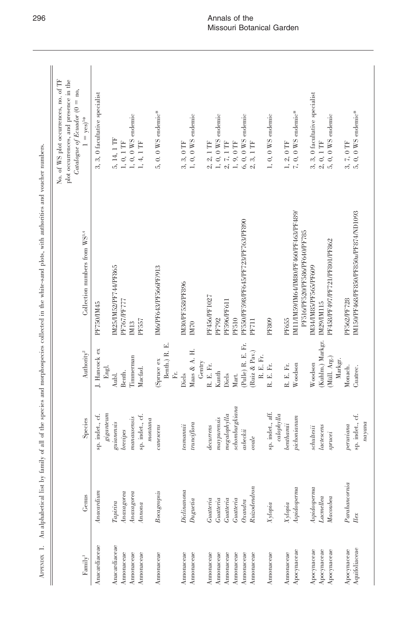| Fannily <sup>1</sup>     | Genus                    | Species                                                                                                                                                                                                                                                                                                                                                                                    | Authority <sup>2</sup>            | Collection numbers from WS <sup>3.4</sup>                               | No. of WS plot occurrences, no. of TF<br>plot occurrences, and presence in the<br>$\emph{Catalogue of Ecuador}$ (0 = no,<br>$1 = yes)^{5*}$ |
|--------------------------|--------------------------|--------------------------------------------------------------------------------------------------------------------------------------------------------------------------------------------------------------------------------------------------------------------------------------------------------------------------------------------------------------------------------------------|-----------------------------------|-------------------------------------------------------------------------|---------------------------------------------------------------------------------------------------------------------------------------------|
| Anacardiaceae            | Anacardium               | ${\it eigennum}$<br>indet., cf.<br>sp.                                                                                                                                                                                                                                                                                                                                                     | J. Hancock ex<br>Engl.            | PF750/IM45                                                              | 3, 0 facultative specialist<br>က်                                                                                                           |
| Anacardiaceae            | Tapirira                 | guianensis                                                                                                                                                                                                                                                                                                                                                                                 | Aubl.                             | IM25/IM52/PF744/PF865                                                   | 5, 14, 1 TF                                                                                                                                 |
| Annonaceae<br>Annonaceae | Anaxagorea<br>Anaxagorea | $man ausensis$<br>brevipes                                                                                                                                                                                                                                                                                                                                                                 | Timmerman<br>Benth.               | PF767/PF777<br>IM13                                                     | $1, 0, 0$ WS endemic<br>$1, 0, 1$ $\rm{TF}$                                                                                                 |
| Annonaceae               | A mona                   | sp. indet., cf.<br>momentana                                                                                                                                                                                                                                                                                                                                                               | Macfad.                           | PF557                                                                   | 1, 4, 1 TF                                                                                                                                  |
| Annonaceae               | Bocageopsis              | canescens                                                                                                                                                                                                                                                                                                                                                                                  | Benth.) R. E.<br>(Spruce ex<br>Ē. | IM6/PF643/PF566PF/913                                                   | 5, 0. 0 $WS$ endemic*                                                                                                                       |
| Annonaceae               | Diclinanona              | tesmaniii                                                                                                                                                                                                                                                                                                                                                                                  | Diels                             | <b>IM30/PF558/PF896</b>                                                 | $3, 3, 0$ TF                                                                                                                                |
| Annonaceae               | Dugueia                  | trunciflora                                                                                                                                                                                                                                                                                                                                                                                | Maas & A. H.<br>Gentry            | IM70                                                                    | $1, 0, 0$ WS endemic                                                                                                                        |
| Annonaceae               | Guateria                 | $de a$ urens                                                                                                                                                                                                                                                                                                                                                                               | R. E. Fr.                         | PF456/PF1027                                                            | $2, 1$ TF<br>2.                                                                                                                             |
| Annonaceae               | Guateria                 | magnrensis                                                                                                                                                                                                                                                                                                                                                                                 | Kunth                             | PF792                                                                   |                                                                                                                                             |
| Annonaceae               | Guateria                 | $me\textnormal{g}alophy\textnormal{l}la$                                                                                                                                                                                                                                                                                                                                                   | Diels                             | <b>PF596/PF611</b>                                                      | 1, 0, 0 WS endemic 2, 7, 1 TF<br>$\mathfrak{Q}^{\mathfrak{c}}$                                                                              |
| Annonaceae               | Guateria                 | ${schomburgkian} a% \begin{pmatrix} \vspace{0.8cm} \vspace{0.8cm} \vspace{0.8cm} \vspace{0.8cm} \vspace{0.8cm} \vspace{0.8cm} \vspace{0.8cm} \vspace{0.8cm} \vspace{0.8cm} \vspace{0.8cm} \vspace{0.8cm} \vspace{0.8cm} \vspace{0.8cm} \vspace{0.8cm} \vspace{0.8cm} \vspace{0.8cm} \vspace{0.8cm} \vspace{0.8cm} \vspace{0.8cm} \vspace{0.8cm} \vspace{0.8cm} \vspace{0.8cm} \vspace{0.8$ | Mart.                             | <b>PF510</b>                                                            | 1, 9, 0 TF<br>6, 0, 0 WS endemic                                                                                                            |
| Annonaceae               | $\alpha$ andra           | asbeckii                                                                                                                                                                                                                                                                                                                                                                                   | (Pulle) R. E. Fr.                 | PF550/PF598/PF645/PF723/PF763/PF890                                     |                                                                                                                                             |
| Annonaceae               | Ruizodendron             | $o value$                                                                                                                                                                                                                                                                                                                                                                                  | (Ruiz & Pav.)<br>R.E.Fr.          | <b>PF711</b>                                                            | 3, 1 TF<br>$\sim$                                                                                                                           |
| Annonaceae               | Xylopia                  | indet., aff.<br>$calophylla$<br>sp.                                                                                                                                                                                                                                                                                                                                                        | R. E. Fr.                         | <b>PF809</b>                                                            | 1, 0, 0 $WS$ endemic                                                                                                                        |
| Annonaceae               | Xylopia                  | benthami                                                                                                                                                                                                                                                                                                                                                                                   | R. E. Fr.                         | PF655                                                                   | 1, 2, 0 TF                                                                                                                                  |
| Apocynaceae              | A spidosperma            | pichonianum                                                                                                                                                                                                                                                                                                                                                                                | Woodson                           | IM11/IM59/IM64/IM80/PF460/PF463/PF489/<br>PF516/PF520/PF586/PF640/PF785 | 7, 0, 0 WS endemic*                                                                                                                         |
| Apocynaceae              | A spidosperma            | $\label{eq:con} schultesii$                                                                                                                                                                                                                                                                                                                                                                | Woodson                           | IM34/IM85/PF565/PF609                                                   | 3, 0 facultative specialist<br>.<br>ನ                                                                                                       |
| Apocynaceae              | Lacmellea                | lactescens                                                                                                                                                                                                                                                                                                                                                                                 | (Kuhlm.) Markgr.                  | IM29/IM115                                                              | $2, 0, 1$ TF<br>5, 0, 0 WS                                                                                                                  |
| $A$ pocynaceae           | Macoubea                 | sprucei                                                                                                                                                                                                                                                                                                                                                                                    | (Müll. Arg.)<br>Markgr.           | PF458/PF497/PF721/PF801/PF862                                           | $0, 0$ WS endemic                                                                                                                           |
| Apocynaceae              | Parahanornia             | peru viana                                                                                                                                                                                                                                                                                                                                                                                 | Monach.                           | PF562/PF728                                                             | 3, 7, 0 TF $5, 0, 0$ WS endemic*                                                                                                            |
| Aquifoliaceae            | llex                     | sp. indet., cf.                                                                                                                                                                                                                                                                                                                                                                            | Cuatrec.                          | IM150/PF468/PF850/PF850a/PF874/ND1093                                   |                                                                                                                                             |
|                          |                          | nayana                                                                                                                                                                                                                                                                                                                                                                                     |                                   |                                                                         |                                                                                                                                             |

APPENDIX 1. An alphabetical list by family of all of the species and morphospecies collected in the white-sand plots, with authorities and voucher numbers. APPENDIX 1. An alphabetical list by family of all of the species and morphospecies collected in the white-sand plots, with authorities and voucher numbers.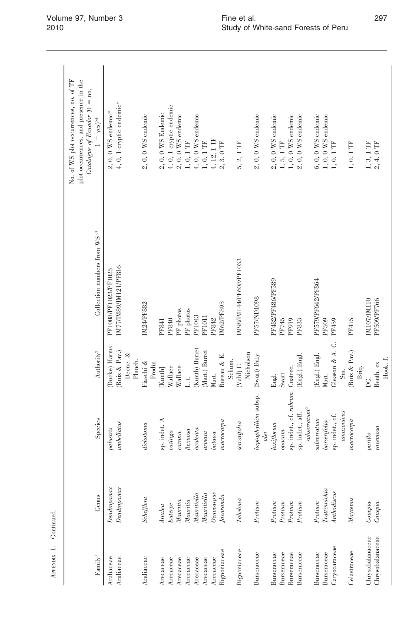|                          |                                                                                                    |                                             |                                |                                               | No. of WS plot occurrences, no. of TF<br>plot occurrences, and presence in the<br>Catalogue of Ecuador $(0 = no,$ |
|--------------------------|----------------------------------------------------------------------------------------------------|---------------------------------------------|--------------------------------|-----------------------------------------------|-------------------------------------------------------------------------------------------------------------------|
| Family <sup>1</sup>      | Genus                                                                                              | Species                                     | Authority <sup>2</sup>         | Collection numbers from WS <sup>3,4</sup>     | $1 = yes)^{5*}$                                                                                                   |
| Araliaceae<br>Araliaceae | Den drop a max<br>Dendropanax                                                                      | $\label{thm:con} umbellatus$<br>paliusiris  | (Ducke) Harms<br>(Ruiz & Pav.) | IM77/IM89/IM121/PF816<br>PF1008/PF1023/PF1025 | 4, 0, 1 cryptic endemic*<br>$2, 0, 0$ WS endemic*                                                                 |
|                          |                                                                                                    |                                             | Decne. &<br>Planch.            |                                               |                                                                                                                   |
| Araliaceae               | $\mathit{Schefflera}$                                                                              | $\label{prop:2} it chosen a$                | Fiaschi &                      | IM24/PF882                                    | $2, 0, 0$ WS endemic                                                                                              |
|                          |                                                                                                    |                                             | Frodin                         |                                               |                                                                                                                   |
| Arecaceae                | 4ttalea                                                                                            | sp. indet. A                                | Kunth]                         | PF840<br>PF841                                | $2,0,0$ WS Endemic                                                                                                |
| Arecaceae<br>Arecaceae   | Mauritia<br>Eutere                                                                                 | $cating a$<br>cara                          | Wallace<br>Wallace             | PF photos                                     | 4, 0, 1 cryptic endemic<br>$2,0,0$ WS endemic                                                                     |
| Arecaceae                | Mauritia                                                                                           | $\label{leut} {\it Hexuosa}$                | $\perp$ .                      | PF photos                                     | 1, 0, 1 TF                                                                                                        |
| Arecaceae                | Mauritiella                                                                                        | aculeata                                    | (Kunth) Burret                 | PF1043                                        | $4,0,0$ WS endemic                                                                                                |
| Arecaceae                | Mauritiella                                                                                        | $a$ rnata                                   | Mart.) Burret                  | <b>PF1011</b>                                 | $1,0,1$ $\rm{TF}$                                                                                                 |
| Arecaceae                | <b>Denocarpus</b>                                                                                  | bataua                                      | Mart.                          | PF842                                         | 4, 12, 1 $\text{TF}$                                                                                              |
| Bignoniaceae             | Jacaranda                                                                                          | macrocapa                                   | Bureau & K.                    | IM62/PF895                                    | $2, 3, 0$ TF                                                                                                      |
|                          |                                                                                                    |                                             | Schum.                         |                                               |                                                                                                                   |
| Bignoniaceae             | $\label{eq:qubit} \begin{aligned} \begin{aligned} \textit{Tableb} via \end{aligned} \end{aligned}$ | seratjolia                                  | Nicholson<br>$(Val)$ G.        | IM98/IM144/PF608/PF1033                       | 5, 2, 1 TF                                                                                                        |
| Burseraceae              | Proium                                                                                             | heptaphyllum subsp.<br>ulei                 | (Swart) Daly                   | PF57/ND1098                                   | $2, 0, 0$ WS endemic                                                                                              |
| Burseraceae              | Protium                                                                                            | laxiflorum                                  | Engl.                          | PF482/PF486/PF589                             | $2, 0, 0$ WS endemic                                                                                              |
| Burseraceae              | Proium                                                                                             | $opacum$                                    | Swart                          | PF745                                         | $1, 5, 1$ TF                                                                                                      |
| Burseraceae              | Proium                                                                                             | sp. indet., cf. rubrum                      | Cuatrec.                       | PF919                                         | $1, 0, 0$ WS endemic                                                                                              |
| Burseraceae              | $Proium$                                                                                           | subseratum <sup>6</sup><br>sp. indet., aff. | (Engl.) Engl.                  | PF833                                         | $2, 0, 0$ WS endemic                                                                                              |
|                          |                                                                                                    |                                             |                                |                                               |                                                                                                                   |
| Burseraceae              | Protium                                                                                            | subseratum                                  | (Engl.) Engl.                  | PF579/PF642/PF864                             | $6, 0, 0$ WS endemic                                                                                              |
| Burseraceae              | Trattinnickia                                                                                      | burserifolia                                | Mart.                          | PF509                                         | $1, 0, 0$ WS endemic                                                                                              |
| Caryocaraceae            | <i><b>Inthodiscus</b></i>                                                                          | sp. indet., cf.                             | Gleason & A. C.                | PF459                                         | $1, 0, 1$ TF                                                                                                      |
|                          |                                                                                                    | $a$ mazonicus                               | Sm.                            |                                               |                                                                                                                   |
| Celastraceae             | Maptenus                                                                                           | macrocapa                                   | (Ruiz & Pav.)                  | PF475                                         | $1, 0, 1$ TF                                                                                                      |
|                          |                                                                                                    |                                             | Briq.                          |                                               |                                                                                                                   |
| Chrysobalanaceae         | Couepia                                                                                            | $\it parillo$                               | Σ.                             | IM107/IM110                                   | $1, 3, 1$ TF                                                                                                      |
| Chrysobalanaceae         | Couepia                                                                                            | racemosa                                    | Benth. ex                      | PF509/PF766                                   | 2, 4, 0 TF                                                                                                        |
|                          |                                                                                                    |                                             | Hook. f.                       |                                               |                                                                                                                   |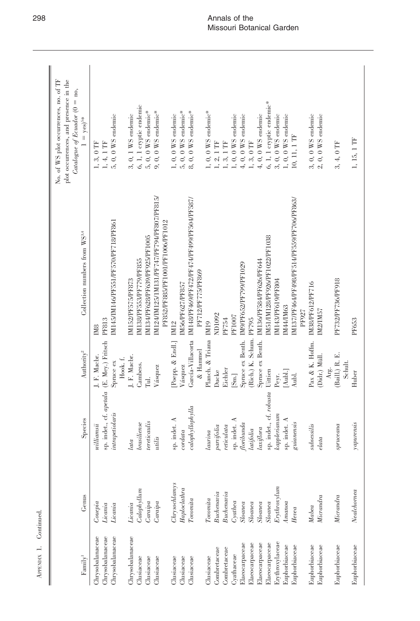| Fannily <sup>1</sup>                                                                    | Genus                                                                                                | Species                                                                                                                                   | Authority <sup>2</sup>                                                        | Collection numbers from WS <sup>3,4</sup>                                                                                                                       | No. of WS plot occurrences, no. of TF<br>plot occurrences, and presence in the<br>Catalogue of Ecuador $(0 = no,$<br>$1 = yes$ <sup>5*</sup> |
|-----------------------------------------------------------------------------------------|------------------------------------------------------------------------------------------------------|-------------------------------------------------------------------------------------------------------------------------------------------|-------------------------------------------------------------------------------|-----------------------------------------------------------------------------------------------------------------------------------------------------------------|----------------------------------------------------------------------------------------------------------------------------------------------|
| Chrysobalanaceae<br>Chrysobalanaceae<br>Chrysobalanaceae                                | Couepia<br>Licania<br>Licania                                                                        | sp. indet., cf. apetala (E. Mey.) Fritsch PF813<br>intrapetiolaris<br>$will can si i$                                                     | J. F. Macbr.<br>Spruce ex                                                     | IM145/IM146/PF551/PF570/PF718/PF861<br>IM <sub>8</sub>                                                                                                          | $5,\,0,\,0$ WS endemic<br>$1, 4, 1$ TF<br>$3,0\ \mathrm{TF}$<br>$\overline{a}$                                                               |
| Chrysobalanaceae<br>Clusiaceae<br>Clusiaceae<br>Clusiaceae                              | $\emph{Calophylum}$<br>Caraipa<br>Carapa<br>Licania                                                  | tereticaulis<br>bras <i>liense</i><br>utilis<br>lata                                                                                      | J. F. Macbr.<br>Hook. f.<br>Cambess.<br>Vásquez<br>Tul.                       | IM124/IM125/1M131/PF747/PF794/PF807/PF815/<br>PF852/PF885/PF1001/PF1006/PF1012<br>IM134/PF628/PF639/PF925/PF1005<br>M138/PF553/PF779/PF855<br>IM152/PF575/PF873 | 6, 1, 1 cryptic endemic<br>5, 0, 0 $\rm WS$ endemic*<br>$9,~0,~0$ WS endemic*<br>0, 1 WS endemic<br>.<br>ಇ                                   |
| Clusiaceae<br>Clusiaceae<br>Clusiaceae                                                  | Chrysochlamys<br>Haploclatra<br>To vonita                                                            | $calophy$ llophylla<br>sp. indet. A<br>$\it{cord}$ ata                                                                                    | García-Villacorta<br>[Poepp. & Endl.]<br>& Hammel<br>Vásquez                  | IM148/PF469/PF472/PF474/PF499/PF504/PF587/<br>PF712/PF775/PF869<br>IM56/PF627/PF857<br>IM12                                                                     | 5, 0, 0 WS endemic*<br>$8, 0, 0$ WS endemic*<br>$1, 0, 0$ WS endemic                                                                         |
| Combretaceae<br>Combretaceae<br>Cyathaceae<br>Clusiaceae                                | Buchenavia<br>Buchenavia<br>Tovonita<br>$C$ rathea                                                   | indet. A<br>$re$ iculata<br>parifolia<br>laurina<br>sp.                                                                                   | Planch. & Triana IM19<br>Eichler<br>Ducke<br>[Sm.]                            | ND1092<br>PF1007<br>PF754                                                                                                                                       | 1, 0, 0 $WS$ endemic*<br>1, 0, 0 $WS$ endemic<br>$1, 2, 1$ $\text{TF}$<br>$1, 3, 1$ $\rm TF$                                                 |
| Erythroxylaceae<br>Elaeocarpaceae<br>Elaeocarpaceae<br>Elaeocarpaceae<br>Elaeocarpaceae | $E$ rythroxylum<br>Sloanea<br>$\label{eq:1} Sloane \, a$<br>$\label{eq:1} Sloane \, a$<br>$Sloane a$ | sp. indet., cf. robusta<br>kaplerianum<br>$\label{eq:general} \begin{aligned} \textit{foribunda} \end{aligned}$<br>laxiflora<br>latifolia | (Rich.) K. Schum.<br>Spruce ex Benth.<br>Spruce ex Benth.<br>Uittien<br>Peyr. | IM51/IM128/PF926/PF1022/PF1038<br>IM136/PF584/PF626/PF644<br>IM9/PF652/PF799/PF1029<br>IM143/PF619/PF804<br>PF795                                               | 6, 1, 1 cryptic endemic*<br>4, 0, 0 WS endemic<br>$3, 0, 0$ WS endemic<br>4, 0, 0 $WS$ endemic<br>$1, 3, 0$ $\rm TF$                         |
| Euphorbiaceae<br>Euphorbiaceae<br>Euphorbiaceae<br>Euphorbiaceae                        | Micrandra<br>$1$ <i>manoa</i><br>Mabea<br>Hevea                                                      | sp. indet. A<br>guianensis<br>subsessilis<br>elata                                                                                        | Pax & K. Hoffm.<br>(Didr.) Müll.<br>[Aubl.]<br>Aubl.                          | IM137/PF464/PF498/PF514/PF559/PF706/PF863/<br>IM38/PF612/PF716<br>IM44/IM63<br>M2/IM57<br>PF927                                                                 | $3,\,0,\,0$ WS endemic<br>1, 0, 0 WS endemic<br>$2, 0, 0$ WS endemic<br>$10, 11, 1$ TF                                                       |
| Euphorbiaceae<br>Euphorbiaceae                                                          | Nealchornea<br>Micrandra                                                                             | yapurensis<br>spruceana                                                                                                                   | (Baill.) R. E.<br>Schult.<br>Arg.<br>Huber                                    | PF732/PF736/PF918<br>PF653                                                                                                                                      | 1, 15, 1 TF<br>3, 4, 0 TF                                                                                                                    |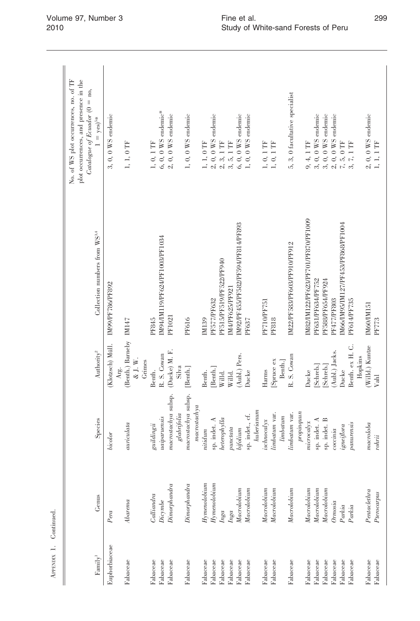| Fannily <sup>1</sup> | Genus                                       | Species                                                                   | Authority <sup>2</sup>                              | Collection numbers from WS <sup>3,4</sup> | No. of WS plot occurrences, no. of TF<br>plot occurrences, and presence in the<br>$Catalogue$ of Ecuador (0 = no,<br>$1 = yes)^{5*}$ |
|----------------------|---------------------------------------------|---------------------------------------------------------------------------|-----------------------------------------------------|-------------------------------------------|--------------------------------------------------------------------------------------------------------------------------------------|
| Euphorbiaceae        | Pera                                        | bicolor                                                                   | (Klotzsch) Müll.                                    | IM99/PF786/PF892                          | $3, 0, 0$ WS endemic                                                                                                                 |
| Fabaceae             | Abarema                                     | auriculata                                                                | (Benth.) Barneby IM147<br>& J. W.<br>Grimes<br>Arg. |                                           | 1, 1, 0 TF                                                                                                                           |
| Fabaceae             | Calliandra                                  | $\it g uilding ii$                                                        | R. S. Cowan<br>Benth.                               | IM94/IM119/PF624/PF1003/PF1034<br>PF845   | $6, 0, 0$ WS endemic*<br>$1,\ 0,\ 1$ TF                                                                                              |
| Fabaceae<br>Fabaceae | Dimorphandra<br>$\ensuremath{\textit{Die}}$ | macrostackby a subsp.<br>$\label{eq:glab} glabrifolia$<br>$u$ aiparuensis | (Ducke) M. F.<br>Silva                              | PF1021                                    | $2, 0, 0$ WS endemic                                                                                                                 |
| Fabaceae             | Dimorphism                                  | macrostackby a subsp.<br>macrostacking                                    | [Benth.]                                            | PF616                                     | $1, 0, 0$ WS endemic                                                                                                                 |
| Fabaceae             | $H$ ymenolo $b$ ium                         | nitidum                                                                   | Benth.                                              | IM139                                     | 1, 1, 0 TF                                                                                                                           |
| Fabaceae             | $H\!gamma$ menolo $b$ ium                   | sp. indet. A                                                              | Benth.                                              | PF577/PF632                               |                                                                                                                                      |
| Fabaceae             | hga                                         | $\label{thm:2} heterophylla$                                              | Willd.                                              | PF515/PF519/PF522/PF940                   | $2, 0, 0$ WS endemic $2, 3, 1$ TF $3, 5, 1$ TF                                                                                       |
| Fabaceae             | lnga                                        |                                                                           | Willd.                                              | M4/PF625/PF921                            |                                                                                                                                      |
| Fabaceae             | Macrolobium                                 | $\begin{array}{c} punctata \\ bjolium \end{array}$                        | (Aubl.) Pers.                                       | M92/PF455/PF582/PF594/PF814/PF893         | $6, 0, 0$ WS endemic                                                                                                                 |
| Fabaceae             | $\it Marcho bium$                           | sp. indet., cf.                                                           | Ducke                                               | PF637                                     | $0, 0$ WS endemic                                                                                                                    |
|                      |                                             | $\emph{huberianum}$                                                       |                                                     | <b>PF710/PF751</b>                        |                                                                                                                                      |
| Fabaceae<br>Fabaceae | Macrolobium<br>$\it Marcho bium$            | $\label{eq:3} limbatum\ \mathrm{var}.$<br>$is chosen \alpha$              | [Spruce ex<br>Harms                                 | <b>PF818</b>                              | $1, 0, 1$ $\text{TF}$<br>1, 0, 1 TF                                                                                                  |
|                      |                                             | $lim_{\text{badum}}$                                                      | Benth.]                                             |                                           |                                                                                                                                      |
| Fabaceae             | Macrolobium                                 | $limbaum\;\mathrm{var}.$                                                  | R. S. Cowan                                         | IM22/PF583/PF603/PF910/PF912              | 3, 0 facultative specialist<br>ທ໌                                                                                                    |
| Fabaceae             | Macrolobium                                 | propinquun<br>microcalsx                                                  | Ducke                                               | IM82/IM122/PF623/PF701/PF870/PF1009       | 4, 1 TF<br>9,                                                                                                                        |
| Fabaceae             | $\it Marcho bium$                           | sp. indet. A                                                              | Schreb.                                             | PF631/PF634/PF752                         |                                                                                                                                      |
| Fabaceae             | Macrolobium                                 | sp. indet. B                                                              | Schreb.                                             | PF588/PF654/PF924                         |                                                                                                                                      |
| Fabaceae             | Ormosia                                     | coccnia                                                                   | (Aubl.) Jacks.                                      | PF477/PF803                               | 3, 0, 0 WS endemic<br>3, 0, 0 WS endemic<br>2, 0, 0 WS endemic<br>7, 5, 0 TF                                                         |
| Fabaceae             | Parkia                                      | ${ \it i gen\'iflora}$                                                    | Ducke                                               | M66/IM95/IM127/PF453/PF868/PF1004         |                                                                                                                                      |
| Fabaceae             | Parkia                                      | panurensis                                                                | Benth. ex H. C.                                     | PF614/PF735                               | $7,\,1$ TF                                                                                                                           |
| Fabaceae             | Pentaclethra                                | macrobba                                                                  | Willd.) Kuntze<br>Hopkins                           | IM60/IM151                                | $2, 0, 0$ WS endemic                                                                                                                 |
| Fabaceae             | Pterocarpus                                 | rohri                                                                     | Vahl                                                | PF773                                     | 1, 1, 1 TF                                                                                                                           |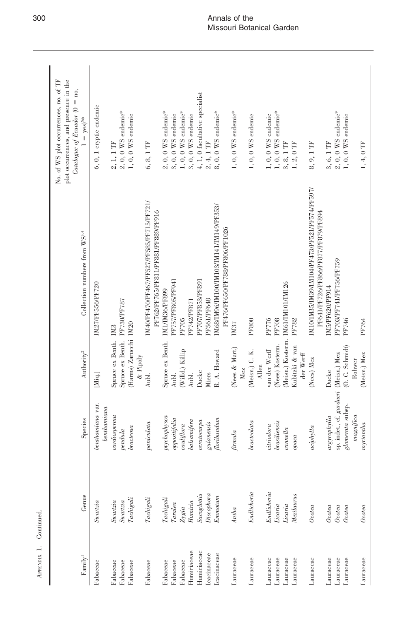| $\ensuremath{\text{Family}}\xspace^1$ | Genus                         | Species                                 | Authority <sup>2</sup>      | Collection numbers from WS <sup>3,4</sup>                                            | plot occurrences, and presence in the<br>No. of WS plot occurrences, no. of TF<br>$Catalogue$ of $Ecuador$ (0 = no,<br>$1 = yes)^{5*}$ |
|---------------------------------------|-------------------------------|-----------------------------------------|-----------------------------|--------------------------------------------------------------------------------------|----------------------------------------------------------------------------------------------------------------------------------------|
| Fabaceae                              | Swartzia                      | benthamiana var.<br>benthamina          | [Miq.]                      | IM27/PF556/PF720                                                                     | 6, 0, 1 cryptic endemic                                                                                                                |
| Fabaceae                              | Suvartzia                     | cardiosperma                            | Spruce ex Benth.            | IM <sub>3</sub>                                                                      | $2, 1, 1$ $\text{TF}$                                                                                                                  |
| Fabaceae                              | Suvartzia                     | pendula                                 | Spruce ex Benth.            | PF730/PF787                                                                          | $2,\,0,\,0$ WS endemic*                                                                                                                |
| Fabaceae                              | Tachigali                     | bractessa                               | (Harms) Zarucchi IM20       |                                                                                      | $1, 0, 0$ WS endemic                                                                                                                   |
| Fabaceae                              | $\label{eq:radial} Tachigali$ | paniculata                              | $\&$ Pipoly<br>Aubl.        | IM40/PF470/PF467/PF527/PF585/PF715/PF721/<br>PF762/PF765/PF811/PF881/PF889/PF916     | 6, 8, 1 TF                                                                                                                             |
| Fabaceae                              | Tachigali                     | $\label{thm:opt} \emph{pychophysca}$    | Spruce ex Benth.            | IMI/IM36/PF899                                                                       | $2, 0, 0$ WS endemic*                                                                                                                  |
| Fabaceae                              | $\qquad \qquad Taralea$       | $\label{eq:opposition}$ oppositifolia   | Aubl.                       | PF757/PF805/PF941                                                                    | $3,\,0,\,0$ WS endemic                                                                                                                 |
| Fabaceae                              | $Z$ ygia                      | cauliflora                              | (Willd.) Killip             | PF705                                                                                | $1, 0, 0$ WS endemic*                                                                                                                  |
| Humiriaceae                           | Huniria                       | balsamifera                             | Aubl.                       | PF742/PF871                                                                          | $3,\,0,\,0$ WS endemic                                                                                                                 |
| Humiriaceae                           | Sacoglottis                   | $c$ erato $c$ arpa                      | Ducke                       | PF707/PF853/PF891                                                                    | 4, 1, 0 facultative specialist                                                                                                         |
| Icacinaceae                           | Discophora                    | guianensis                              | Miers                       | PF561/PF648                                                                          | $2,\,4,\,1$ TF                                                                                                                         |
| lcacinaceae                           | Emmotum                       | $\label{thm:optimal} flor ibundum$      | R. A. Howard                | IM68/IM96/IM100/IM103/IM141/IM149/PF353/<br>PF476/PF650/PF788/PF806/PF1026           | $8, 0, 0$ WS endemic*                                                                                                                  |
| Lauraceae                             | Aniba                         | firmula                                 | (Nees & Mart.)<br>Mez       | IM37                                                                                 | 1, 0, 0 WS endemic*                                                                                                                    |
| Lauraceae                             | Endlicheria                   | bracteolata                             | (Meisn.) C. K.<br>Allen     | <b>PF800</b>                                                                         | $1, 0, 0$ WS endemic                                                                                                                   |
| Lauraceae                             | Endlicheria                   | ciriodora                               | van der Werff               | PF776                                                                                | $1, 0, 0$ WS endemic                                                                                                                   |
| Lauraceae                             | Licaria                       | <b>brasiliensis</b>                     | (Nees) Kosterm.             | PF708                                                                                | $1, 0, 0$ WS endemic*                                                                                                                  |
| Lauraceae                             | Licaria                       | $can$ nella                             | (Meisn.) Kosterm.           | IM61/IM101/IM126                                                                     | $3, 8, 1$ TF                                                                                                                           |
| Lauraceae                             | Mezilaurus                    | opaca                                   | Kubitzki & van<br>der Werff | PF782                                                                                | $1, 2, 0$ $\rm TF$                                                                                                                     |
| Lauraceae                             | O <sub>ctea</sub>             | aciphyla                                | (Nees) Mez                  | IM10/IM35/IM39/IM104/PF473/PF521/PF574/PF597/<br>PF641/PF726/PF866/PF877/PF879/PF894 | 8, 9, 1 TF                                                                                                                             |
| Lauraceae                             | Occea                         | argrop by la                            | Ducke                       | IM5/PF620/PF914                                                                      | 3, 6, 1 TF                                                                                                                             |
| Lauraceae                             | O <sub>ctea</sub>             | sp. indet., cf. gardneri (Meisn.) Mez   |                             | PF703/PF741/PF756/PF759                                                              | $2, 0, 0$ WS endemic*                                                                                                                  |
| Lauraceae                             | Ocotea                        | $g lomerata$ subsp.                     | (0. C. Schmidt)             | PF746                                                                                | $1, 0, 0$ WS endemic                                                                                                                   |
| Lauraceae                             | Ocotea                        | $magn \bar{q}ca$<br>$m$ <i>yriantha</i> | (Meisn.) Mez<br>Rohwer      | PF764                                                                                | $1, 4, 0$ TF                                                                                                                           |

APENDIX 1. Continued. APPENDIX 1. Continued.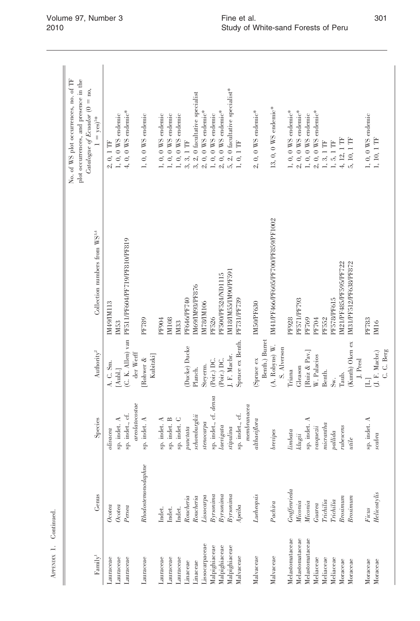|                                         |                    |                                                                                                                                       |                                 |                                                 | No. of WS plot occurrences, no. of TF<br>plot occurrences, and presence in the<br>Catalogue of Ecuador $(0 = no,$ |
|-----------------------------------------|--------------------|---------------------------------------------------------------------------------------------------------------------------------------|---------------------------------|-------------------------------------------------|-------------------------------------------------------------------------------------------------------------------|
| $\ensuremath{\textit{Family}}\xspace^1$ | Genus              | Species                                                                                                                               | Authority <sup>2</sup>          | Collection numbers from WS <sup>3,4</sup>       | $1 = yes$ <sup>5*</sup>                                                                                           |
| Lauraceae                               | Occea              | olivacea                                                                                                                              | A.C. Sm.                        | IM49/IM113                                      | $2, 0, 1$ TF                                                                                                      |
| Lauraceae                               | Ocotea             | sp. indet. A                                                                                                                          | [Aubl.]                         | IM53                                            | $1, 0, 0$ WS endemic                                                                                              |
| Lauraceae                               | Persea             | sp. indet., cf.                                                                                                                       |                                 | (C. K. Allen) van PF511/PF604/PF719/PF810/PF819 | 4, 0, 0 WS endemic*                                                                                               |
|                                         |                    | areolatocostae                                                                                                                        | der Werff                       |                                                 |                                                                                                                   |
| Lauraceae                               | Rhodostemonodaphne | indet. A<br>sp.                                                                                                                       | Rohwer &                        | PF789                                           | $1, 0, 0$ WS endemic                                                                                              |
|                                         |                    |                                                                                                                                       | Kubitzki]                       |                                                 |                                                                                                                   |
| Lauraceae                               | Indet.             | sp. indet. A                                                                                                                          |                                 | PF904                                           | $1, 0, 0$ WS endemic                                                                                              |
| Lauraceae                               | Indet.             | sp. indet. B                                                                                                                          |                                 | IM108                                           | $1, 0, 0$ WS endemic                                                                                              |
| Lauraceae                               | Indet.             | sp. indet. C                                                                                                                          |                                 | IM33                                            | $1, 0, 0$ WS endemic                                                                                              |
| Linaceae                                | Roucheria          | puncta                                                                                                                                | (Ducke) Ducke                   | PF646/PF740                                     | 3, 3, 1 TF                                                                                                        |
| Linaceae                                | Roucheria          | schomburgkii                                                                                                                          | Planch.                         | IM69/IM93/PF876                                 | 3, 2, 0 facultative specialist                                                                                    |
| Lissocarpaceae                          | Lissocarpa         | stenocarpa                                                                                                                            | Steverm.                        | IM78/IM106                                      | $2, 0, 0$ WS endemic*                                                                                             |
| Malpighiaceae                           | $By$ rsonima       | sp. indet., cf. densa                                                                                                                 | (Poir.) DC.                     | PF526                                           | $1, 0, 0$ WS endemic                                                                                              |
| Malpighiaceae                           | Byrsonima          | laevigata                                                                                                                             | (Poir.) DC.                     | PF500/PF524/ND1115                              | $2,0,0$ WS endemic*                                                                                               |
| Malpighiaceae                           | $By$ rsonima       | stipulina                                                                                                                             | J. F. Macbr.                    | IM18/IM55/IM90/PF591                            | 5, 2, 0 facultative specialist*                                                                                   |
| Malvaceae                               | Apeiba             | sp. indet., cf.                                                                                                                       | Spruce ex Benth.                | PF731/PF739                                     | 1, 0, 1 TF                                                                                                        |
|                                         |                    | membrance a                                                                                                                           |                                 |                                                 |                                                                                                                   |
| Malvaceae                               | Lueheopsis         | $\label{thm:ob} although the other two functions are the same, and the other points are the same, and the other points are the same.$ | (Spruce ex                      | IM50/PF630                                      | $2, 0, 0$ WS endemic*                                                                                             |
|                                         |                    |                                                                                                                                       | Benth.) Burret                  |                                                 |                                                                                                                   |
| Malvaceae                               | Pachira            | brevipes                                                                                                                              | $(A. Robyns)$ W.<br>S. Alverson | IM41/PF466/PF605/PF700/PF859/PF1002             | 13, 0, 0 WS endemic*                                                                                              |
| Melastomataceae                         | Graffenrieda       | limbata                                                                                                                               | Triana                          | PF928                                           | 1, 0, 0 $WS$ endemic*                                                                                             |
| Melastomataceae                         | Miconia            | klugii                                                                                                                                | Gleason                         | PF571/PF793                                     | $2, 0, 0$ WS endemic*                                                                                             |
| Melastomataceae                         | Miconia            | sp. indet. $A$                                                                                                                        | Ruiz & Pav.                     | PF769                                           | $1, 0, 0$ WS endemic                                                                                              |
| Meliaceae                               | Guarea             | $va squezi i$                                                                                                                         | W. Palacios                     | PF704                                           | $2,0,0$ WS endemic*                                                                                               |
| Meliaceae                               | Trichilia          | micrantha                                                                                                                             | Benth.                          | PF552                                           | $1,\,3,\,1$ TF                                                                                                    |
| Meliaceae                               | Trichilia          | pallida                                                                                                                               | s.<br>Šv.                       | PF578/PF615                                     | $1,\,5,\,1$ TF                                                                                                    |
| Moraceae                                | Brosinum           | rubescens                                                                                                                             | Taub.                           | IM21/PF485/PF595/PF722                          | 4, 12, 1 TF                                                                                                       |
| Moraceae                                | Brosinum           | utile                                                                                                                                 | (Kunth) Oken ex                 | IM31/PF512/PF638/PF872                          | 5, 10, 1 TF                                                                                                       |
|                                         |                    |                                                                                                                                       | J. Presl                        |                                                 |                                                                                                                   |
| Moraceae                                | Ficus              | sp. indet. A                                                                                                                          | $\exists$                       | PF783                                           | $1,\,0,\,0$ WS endemic                                                                                            |
| Moraceae                                | Helicostylis       | scabra                                                                                                                                | (J. F. Macbr.)                  | IM16                                            | 1, 10, 1 TF                                                                                                       |
|                                         |                    |                                                                                                                                       | C.C. Berg                       |                                                 |                                                                                                                   |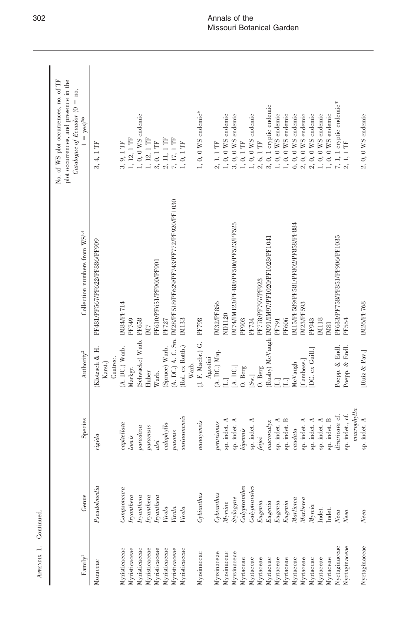| Fannily <sup>1</sup>           | Genus                           | Species                                            | Authority <sup>2</sup>               | Collection numbers from WS <sup>3,4</sup>                             | No. of WS plot occurrences, no. of TF<br>plot occurrences, and presence in the<br>Catalogue of Ecuador $(0 = no,$<br>$1 = yes)^{5*}$ |
|--------------------------------|---------------------------------|----------------------------------------------------|--------------------------------------|-----------------------------------------------------------------------|--------------------------------------------------------------------------------------------------------------------------------------|
| Moraceae                       | Pseudolmedia                    | ida<br>rigi                                        | Klotzsch & H.<br>Cuatrec.<br>Karst.) | PF481/PF567/PF622/PF886/PF909                                         | 4, 1 TF<br>က်                                                                                                                        |
| Myristicaceae<br>Myristicaceae | Componeura<br><i>Iryanthera</i> | $capiellata$<br>laevis                             | $(A. DC.)$ Warb.<br>Markgr.          | IM84/PF714<br>PF749                                                   | $1,\,12,\,1$ TF<br>9, 1 TF<br>.<br>೧೧                                                                                                |
| Myristicaceae                  | <i>Iryanthera</i>               | paradoxa                                           | (Schwacke) Warb. PF658               |                                                                       | $1, 0, 0$ WS endemic                                                                                                                 |
| Myristicaceae<br>Myristicaceae | Iryanthera<br>ryanthera         | paraensis<br>$_{u}$                                | Huber<br>Warb.                       | PF610/PF651/PF900/PF901<br>IM <sub>7</sub>                            | 1, 12, 1 TF<br>$3,0,1$ $\rm{TF}$                                                                                                     |
| Myristicaceae<br>Myristicaceae | Virola<br>Virola                | calophylla                                         | (Spruce) Warb.                       | (A. DC.) A. C. Sm. IM28/PF518/PF629/PF743/PF772/PF920/PF1030<br>PF727 | 2, 11, 1 TF<br>7, 17, 1 TF                                                                                                           |
| Myristicaceae                  | Virola                          | surinamensis<br>pavonis                            | (Rol. ex Rottb.)                     | IM133                                                                 | 1, 0, 1 TF                                                                                                                           |
| Myrsinaceae                    | Cy binantus                     | nanayensis                                         | (J. F. Macbr.) G.<br>Warb.           | PF798                                                                 | 1, 0, 0 WS endemic*                                                                                                                  |
| Myrsinaceae                    | Cy binantus                     | perwinans                                          | (A. DC.) Miq.<br>Agostini            | IM32/PF856                                                            | $1, 1$ $\mathrm{TF}$                                                                                                                 |
| Myrsinaceae<br>Myrsinaceae     | Stylogyne<br>$M$ <i>yrsine</i>  | indet. A<br>indet. A<br>sp.<br>$\mathbf{\hat{p}}.$ | A. DC.]<br>$\overline{\Xi}$          | IM74/IM123/PF488/PF506/PF523/PF525<br>ND1120                          | 1, 0, 0 $WS$ endemic<br>$3, 0, 0$ WS endemic                                                                                         |
| Myrtaceae                      | Calypranthes                    | bipennis                                           | O. Berg                              | PF903                                                                 | $1, 0, 1$ $\rm TF$                                                                                                                   |
| Myrtaceae                      | Calypranthes                    | sp. indet. ${\bf A}$                               | $\left[\mathrm{Sw}\right]$           | PF734                                                                 | $1, 0, 0$ WS endemic                                                                                                                 |
| Myrtaceae                      | Eugenia                         | feijoi                                             | O. Berg                              | PF778/PF797/PF923                                                     | $2, 6, 1$ TF                                                                                                                         |
| Myrtaceae<br>Myrtaceae         | Eugenia<br>Eugenia              | sp. indet. A<br>$macrocd$ yx                       | Ξ                                    | (Rusby) McVaugh IM91/IM97/PF1020/PF1028/PF1041<br>PF791               | 3, 0, 1 cryptic endemic<br>1, 0, 0 $WS$ endemic                                                                                      |
| Myrtaceae                      | Eugenia                         | sp. indet. B                                       | Ξ                                    | PF606                                                                 | $1,\,0,\,0$ WS endemic                                                                                                               |
| Myrtaceae                      | $\it Marliera$                  | caudata                                            | McVaugh                              | IM15/PF589/PF581/PF802/PF858/PF884                                    | $6, 0, 0$ WS endemic                                                                                                                 |
| Myrtaceae                      | $\it Marliera$                  | sp. indet. A                                       | [Cambess.]                           | IM23/PF593                                                            | $0, 0$ WS endemic<br>$\mathcal{L}$                                                                                                   |
| Myrtaceae                      | Myrcia                          | indet. A<br>sp.                                    | DC. ex Guill.                        | PF943                                                                 | $0, 0$ WS endemic<br>$\infty$                                                                                                        |
| Myrtaceae                      | Indet.                          | indet. A<br>ςp.                                    |                                      | IM118                                                                 | 1, 0, 0 WS endemic                                                                                                                   |
| Myrtaceae                      | Indet.                          | indet. B<br>sp.                                    |                                      | IM81                                                                  | 1, 0, 0 $WS$ endemic                                                                                                                 |
| Nyctaginaceae                  | $\chi_{\textit{eca}}$           | divaricata cf.                                     | Poepp. & Endl.                       | PF633/PF758/PF851/PF906/PF1035                                        | 7, 1, 1 cryptic endemic*                                                                                                             |
| Nyctaginaceae                  | $N$ ee $a$                      | indet., cf.<br>sp.                                 | Poepp. & Endl.                       | PF554                                                                 | Ë                                                                                                                                    |
| Nyctaginaceae                  | Neea                            | macrophylla<br>indet. A<br>sp.                     | [Ruiz & Pav.]                        | IM26/PF768                                                            | $2, 0, 0$ WS endemic                                                                                                                 |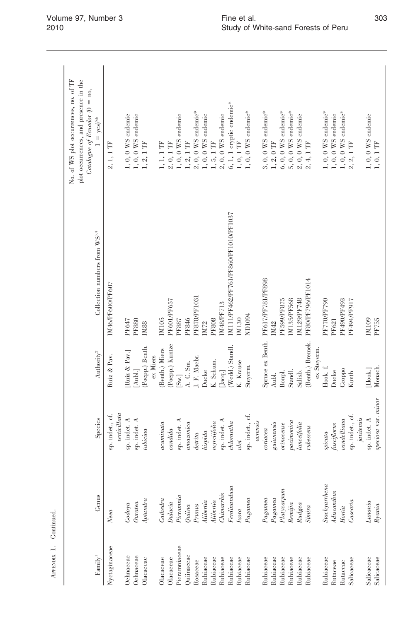| Fannily <sup>1</sup>                               | Genus                                                                                                                                                                                                                                                                                                                                                                                                                                                                                                                         | Species                                                                                                                                                                                                  | Authority <sup>2</sup>                                 | Collection numbers from WS <sup>3,4</sup>                                        | No. of WS plot occurrences, no. of TF<br>plot occurrences, and presence in the<br>Catalogue of Ecuador $(0 = no,$<br>$= \mathrm{yes})^{5*}$ |
|----------------------------------------------------|-------------------------------------------------------------------------------------------------------------------------------------------------------------------------------------------------------------------------------------------------------------------------------------------------------------------------------------------------------------------------------------------------------------------------------------------------------------------------------------------------------------------------------|----------------------------------------------------------------------------------------------------------------------------------------------------------------------------------------------------------|--------------------------------------------------------|----------------------------------------------------------------------------------|---------------------------------------------------------------------------------------------------------------------------------------------|
| Nyctaginaceae                                      | $N$ ee $a$                                                                                                                                                                                                                                                                                                                                                                                                                                                                                                                    | verticillata<br>sp. indet., cf.                                                                                                                                                                          | Ruiz & Pav.                                            | IM46/PF600/PF607                                                                 | $2, 1, 1$ TF                                                                                                                                |
| Ochnaceae<br>Ochnaceae<br>$O$ lacaceae             | $A$ ptandra<br>$Our area% \begin{pmatrix} \omega_{0} & \omega_{1} & \omega_{1} & \omega_{2} & \omega_{1} & \omega_{2} & \omega_{1} & \omega_{2} & \omega_{1} & \omega_{2} & \omega_{2} & \omega_{2} & \omega_{2} & \omega_{2} & \omega_{2} & \omega_{2} & \omega_{2} & \omega_{2} & \omega_{2} & \omega_{2} & \omega_{2} & \omega_{2} & \omega_{2} & \omega_{2} & \omega_{2} & \omega_{2} & \omega_{2} & \omega_{2} & \omega_{2} & \omega_{2} & \omega_{2} & \omega_{2} & \omega_{2} & \omega_{2} & \omega_{2} & \$<br>Godoya | sp. indet. $\Lambda$<br>sp. indet. A<br>tubicina                                                                                                                                                         | Poepp.) Benth.<br>Ruiz & Pav.<br>[Aubl.]               | PF647<br><b>PF880</b><br>IM88                                                    | $1, 0, 0$ WS endemic<br>$1, 0, 0$ WS endemic<br>1, 2, 1 TF                                                                                  |
| Picramniaceae<br>$O$ lacaceae<br>Olacaceae         | Picramnia<br>Cathedra<br>$Dulacia$                                                                                                                                                                                                                                                                                                                                                                                                                                                                                            | sp. indet. A<br>acuminata<br>candida                                                                                                                                                                     | (Poepp.) Kuntze<br>(Benth.) Miers<br>ex Miers<br>[Sw.] | PF601/PF657<br>IM105<br>PF887                                                    | $1, 0, 0$ WS endemic<br>$2,0,1$ $\rm{TF}$<br>$1, 1, 1$ TF                                                                                   |
| $Q$ uiinaceae<br>Rubiaceae<br>Rosaceae             | $\label{prop:rel} A libertia$<br>Prunus<br>Quiina                                                                                                                                                                                                                                                                                                                                                                                                                                                                             | amazonica<br>hispida<br>detita                                                                                                                                                                           | J. F. Macbr.<br>A. C. Sm.<br>Ducke                     | PF878/PF1031<br>PF846<br>IM72                                                    | $2,0,0$ WS endemic*<br>$1, 0, 0$ WS endemic<br>$1, 2, 1$ $\text{TF}$                                                                        |
| Rubiaceae<br>Rubiaceae<br>Rubiaceae<br>Rubiaceae   | $_{Fedin and usa}$<br>Chimarhis<br>$\label{prop:rel} Alibertia$<br>Ixora                                                                                                                                                                                                                                                                                                                                                                                                                                                      | sp. indet. A<br>myrcifolia<br>$\label{thm:1}~\textit{chlorantha}$<br>ulei                                                                                                                                | (Wedd.) Standl.<br>K. Schum.<br>K. Krause<br>[Jacq.]   | M111/PF462/PF761/PF860/PF1010/PF1037<br><b>M48/PF713</b><br>M130<br><b>PF808</b> | $6, 1, 1$ cryptic endemic*<br>$2, 0, 0$ WS endemic<br>$1, 5, 1$ $\text{TF}$<br>$1, 0, 1$ $\text{TF}$                                        |
| Rubiaceae<br>Rubiaceae                             | $Pa$ gamea<br>$Pa$ gamea                                                                                                                                                                                                                                                                                                                                                                                                                                                                                                      | sp. indet., cf.<br>acrensis<br>coriacea                                                                                                                                                                  | Steyerm.                                               | Spruce ex Benth. PF617/PF781/PF898<br>ND1094                                     | $1, 0, 0$ WS endemic*<br>$3, 0, 0$ WS endemic*                                                                                              |
| Rubiaceae<br>Rubiaceae<br>Rubiaceae<br>Rubiaceae   | Platycarpum<br>$\mathcal{P}a\mathcal{g}amea$<br>Renijia<br>Rudgea                                                                                                                                                                                                                                                                                                                                                                                                                                                             | $\label{eq:conc} \textit{paramonic} \textit{a}$<br>$\label{eq:equation} \begin{aligned} \textit{guianensis} \end{aligned}$<br>$\label{eq:lineic} \textit{lane} i\textit{fo} \textit{lia}$<br>$orinoense$ | Standl.<br>Bonpl.<br>Salisb.<br>Aubl.                  | IM129/PF748<br>IM135/PF568<br><b>PF599/PF875</b><br>IM42                         | 5, 0, 0 WS endemic*<br>$6, 0, 0$ WS endemic*<br>$2,0,0$ WS endemic<br>$1,\,2,\,0$ TF                                                        |
| Rubiaceae<br>Rubiaceae<br>Rutaceae                 | Stachyarrhena<br>$\label{dissant} A discanthus$<br>Simira                                                                                                                                                                                                                                                                                                                                                                                                                                                                     | $\label{eq:1} fusciflorus$<br>$rules ens$<br>spicata                                                                                                                                                     | (Benth.) Bremek.<br>ex Steyerm.<br>Hook. f.<br>Ducke   | PF80/PF796/PF1014<br><b>PF770/PF790</b><br>PF621                                 | 1, 0, 0 WS endemic*<br>$1, 0, 0$ WS endemic<br>2, 4, 1 TF                                                                                   |
| Salicaceae<br>Salicaceae<br>Salicaceae<br>Rutaceae | $\label{eq:ases} Casenia$<br>Lunania<br>$R$ yania<br>Hortia                                                                                                                                                                                                                                                                                                                                                                                                                                                                   | speciosa var. minor<br>sp. indet., cf.<br>javitensis<br>sp. indet. A<br>$\it undelliana$                                                                                                                 | Monach<br>Groppo<br>[Hook.]<br>Kunth                   | PF490/PF493<br>PF494/PF917<br>IM109<br>PF755                                     | 1, 0, 0 WS endemic*<br>$1, 0, 0$ WS endemic<br>$2,1$ $\mathrm{TF}$<br>$1,\,0,\,1$ TF<br>$\mathcal{L}$                                       |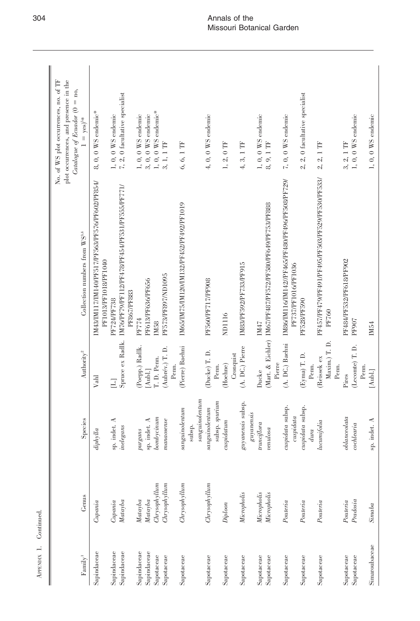|                          |                               |                                   |                                       |                                                                         | No. of WS plot occurrences, no. of TF<br>plot occurrences, and presence in the<br>Catalogue of Ecuador $(0 = no,$ |  |
|--------------------------|-------------------------------|-----------------------------------|---------------------------------------|-------------------------------------------------------------------------|-------------------------------------------------------------------------------------------------------------------|--|
| Fannily <sup>1</sup>     | Genus                         | Species                           | Authority <sup>2</sup>                | Collection numbers from WS <sup>3,4</sup>                               | $1 = yes$ <sup>5*</sup>                                                                                           |  |
| Sapindaceae              | Cupania                       | diphylla                          | Vahl                                  | IM43/IM117/IM140/PF517/PF563/PF576/PF602/PF854/<br>PF1013/PF1018/PF1040 | $8, 0, 0$ WS endemic*                                                                                             |  |
| Sapindaceae              | Capania                       | indet. A                          | $\Xi$                                 | PF724/PF738                                                             | $1,\,0,\,0$ WS endemic                                                                                            |  |
| Sapindaceae              | Matayba                       | sp. indet.<br><i>inelegans</i>    | Spruce ex Radlk.                      | IM76/PF79/PF112/PF478/PF454/PF531/PF555/PF771/<br>PF867/PF883           | $7, 2, 0$ facultative specialist                                                                                  |  |
| Sapindaceae              | Matayba                       | purgans                           | (Poepp.) Radlk.                       | PF774                                                                   | $1, 0, 0$ WS endemic                                                                                              |  |
| Sapindaceae              | $\it{Matayba}$                | sp. indet. $A$                    | [Aubl.]                               | PF613/PF636/PF656                                                       | $3,\,0,\,0$ WS endemic                                                                                            |  |
| Sapotaceae               | Chrysophyllum                 | $\label{eq:conformal} bombycinum$ | T. D. Penn.                           | IM <sub>58</sub>                                                        | 1, 0, 0 WS endemic*                                                                                               |  |
| Sapotaceae               | hrysophyllum                  | man aosense                       | (Aubrév.) T. D.<br>Penn.              | PF573/PF897/ND1095                                                      | $3, 1, 1$ TF                                                                                                      |  |
| Sapotaceae               | Chrysophyllum                 | $\label{eq:congru} sample number$ | (Pierre) Baehni                       | IM65/IM75/IM120/IM132/PF452/PF492/PF1019                                | 6, 6, 1 TF                                                                                                        |  |
|                          |                               | sanguino lentum<br>subsp.         |                                       |                                                                         |                                                                                                                   |  |
| Sapotaceae               | Chrysophyllum                 | subsp. spurium<br>sanguino lentum | (Ducke) T. D.<br>Penn.                | PF560/PF717/PF908                                                       | $4, 0, 0$ WS endemic                                                                                              |  |
| Sapotaceae               | $Diploon$                     | cuspidatum                        | (Hoehne)                              | ND1116                                                                  | $1, 2, 0$ TF                                                                                                      |  |
|                          |                               |                                   | Cronquist                             |                                                                         |                                                                                                                   |  |
| Sapotaceae               | Micropholis                   | guyanensis subsp.                 | (A. DC.) Pierre                       | IM83/PF592/PF733/PF915                                                  | 4, 3, 1 TF                                                                                                        |  |
|                          | <b>Micropholis</b>            | guyanensis<br>$true$ iflora       | Ducke                                 | IM47                                                                    | $1, 0, 0$ WS endemic                                                                                              |  |
| Sapotaceae<br>Sapotaceae | Micropholis                   | vendosa                           |                                       | (Mart. & Eichler) IM67/PF487/PF572/PF580/PF649/PF753/PF888              | 8,9,1 TF                                                                                                          |  |
|                          |                               |                                   | Pierre                                |                                                                         |                                                                                                                   |  |
| Sapotaceae               | Pouteria                      | cuspidata subsp.<br>cuspidata     | (A. DC.) Baehni                       | IM86/IM116/IM142//PF465/PF480/PF496/PF508/PF729/<br>PF737/PF1016/PF1036 | $7, 0, 0$ WS endemic                                                                                              |  |
| Sapotaceae               | $\label{eq:powerlaw} Poweria$ | cuspidata subsp.<br>dura          | (Eyna) T. D.<br>Penn.                 | PF528/PF590                                                             | 2, 2, 0 facultative specialist                                                                                    |  |
| Sapotaceae               | Pouteria                      | lucumifolia                       | Maxim.) T. D.<br>(Reissek ex<br>Penn. | PF457/PF479/PF491/PF495/PF503/PF529/PF530/PF533/<br>PF760               | $2, 2, 1$ TF                                                                                                      |  |
| Sapotaceae               | Pouteria                      | oblanecolata                      | Pires                                 | PF484/PF532/PF618/PF902                                                 | 3, 2, 1 TF                                                                                                        |  |
| Sapotaceae               | Predosia                      | cochlearia                        | (Lecomte) T. D.<br>Penn.              | <b>PF907</b>                                                            | $1, 0, 0$ WS endemic                                                                                              |  |
| Simaroubaceae            | Simaba                        | indet. A<br>ġ.                    | $[{\rm And.}]$                        | IM54                                                                    | $1, 0, 0$ WS endemic                                                                                              |  |

APENDIX 1. Continued. APPENDIX 1. Continued.

 $\overline{\phantom{a}}$